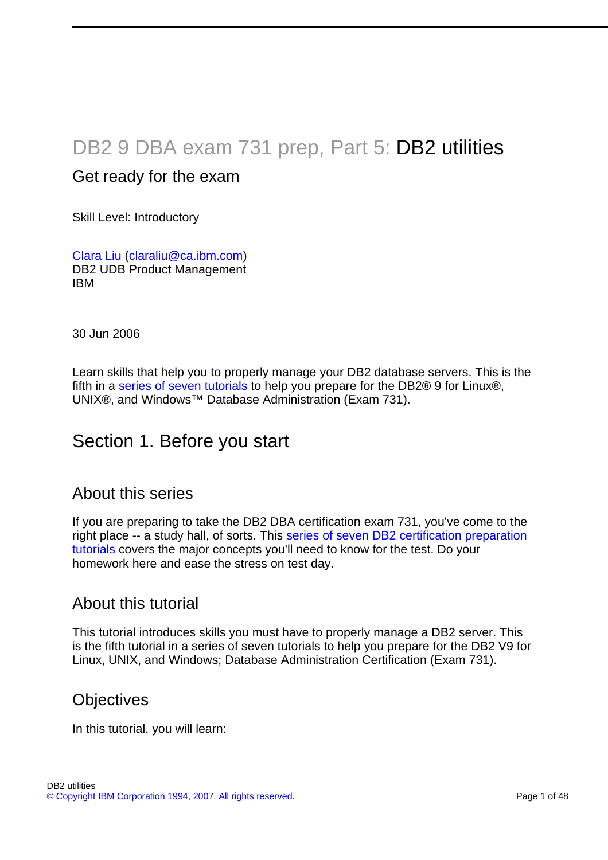# DB2 9 DBA exam 731 prep, Part 5: DB2 utilities

### Get ready for the exam

Skill Level: Introductory

[Clara Liu](#page-47-0) [\(claraliu@ca.ibm.com\)](mailto:claraliu@ca.ibm.com) DB2 UDB Product Management IBM

30 Jun 2006

Learn skills that help you to properly manage your DB2 database servers. This is the fifth in a [series of seven tutorials](http://www.ibm.com/developerworks/offers/lp/db2cert/db2-cert731.html?S_TACT=105AGX19&S_CMP=db2cert) to help you prepare for the DB2® 9 for Linux®, UNIX®, and Windows™ Database Administration (Exam 731).

## Section 1. Before you start

### About this series

If you are preparing to take the DB2 DBA certification exam 731, you've come to the right place -- a study hall, of sorts. This [series of seven DB2 certification preparation](http://www.ibm.com/developerworks/offers/lp/db2cert/db2-cert731.html?S_TACT=105AGX19&S_CMP=db2cert) [tutorials](http://www.ibm.com/developerworks/offers/lp/db2cert/db2-cert731.html?S_TACT=105AGX19&S_CMP=db2cert) covers the major concepts you'll need to know for the test. Do your homework here and ease the stress on test day.

### About this tutorial

This tutorial introduces skills you must have to properly manage a DB2 server. This is the fifth tutorial in a series of seven tutorials to help you prepare for the DB2 V9 for Linux, UNIX, and Windows; Database Administration Certification (Exam 731).

### **Objectives**

In this tutorial, you will learn: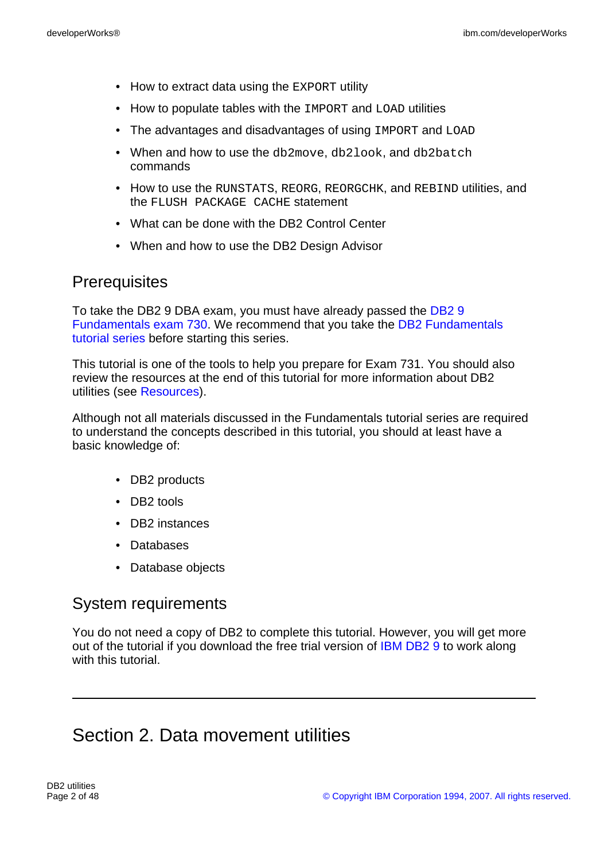- How to extract data using the EXPORT utility
- How to populate tables with the IMPORT and LOAD utilities
- The advantages and disadvantages of using IMPORT and LOAD
- When and how to use the db2move, db2look, and db2batch commands
- How to use the RUNSTATS, REORG, REORGCHK, and REBIND utilities, and the FLUSH PACKAGE CACHE statement
- What can be done with the DB2 Control Center
- When and how to use the DB2 Design Advisor

### **Prerequisites**

To take the DB2 9 DBA exam, you must have already passed the [DB2 9](http://www-03.ibm.com/certify/tests/test_index.shtml) [Fundamentals exam 730.](http://www-03.ibm.com/certify/tests/test_index.shtml) We recommend that you take the [DB2 Fundamentals](http://www.ibm.com/developerworks/offers/lp/db2cert/db2-cert730.html?S_TACT=105AGX19&S_CMP=db2cert) [tutorial series](http://www.ibm.com/developerworks/offers/lp/db2cert/db2-cert730.html?S_TACT=105AGX19&S_CMP=db2cert) before starting this series.

This tutorial is one of the tools to help you prepare for Exam 731. You should also review the resources at the end of this tutorial for more information about DB2 utilities (see [Resources\)](#page-46-0).

Although not all materials discussed in the Fundamentals tutorial series are required to understand the concepts described in this tutorial, you should at least have a basic knowledge of:

- DB2 products
- DB<sub>2</sub> tools
- DB2 instances
- Databases
- Database objects

### System requirements

You do not need a copy of DB2 to complete this tutorial. However, you will get more out of the tutorial if you download the free trial version of [IBM DB2 9](http://www.ibm.com/developerworks/downloads/im/udb/?S_TACT=105AGX19&S_CMP=db2cert) to work along with this tutorial

# Section 2. Data movement utilities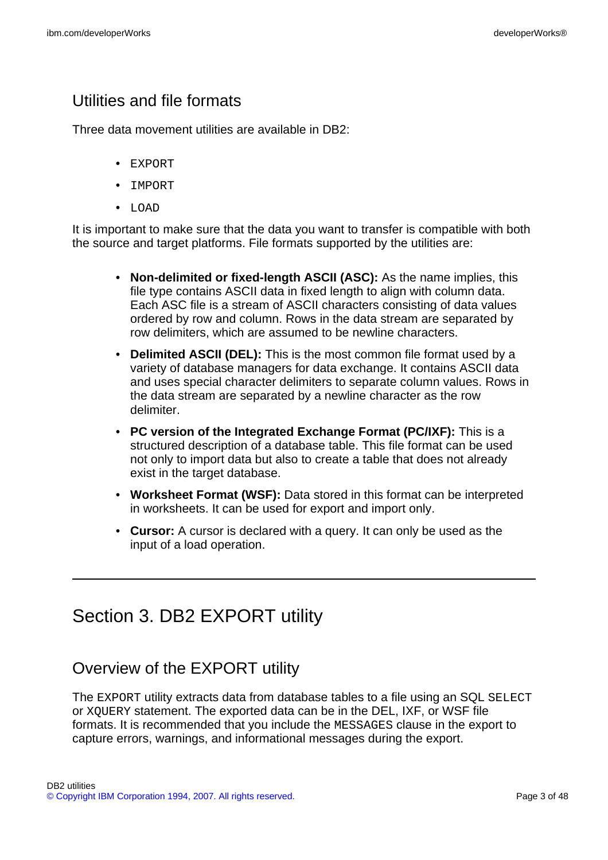## Utilities and file formats

Three data movement utilities are available in DB2:

- EXPORT
- IMPORT
- LOAD

It is important to make sure that the data you want to transfer is compatible with both the source and target platforms. File formats supported by the utilities are:

- **Non-delimited or fixed-length ASCII (ASC):** As the name implies, this file type contains ASCII data in fixed length to align with column data. Each ASC file is a stream of ASCII characters consisting of data values ordered by row and column. Rows in the data stream are separated by row delimiters, which are assumed to be newline characters.
- **Delimited ASCII (DEL):** This is the most common file format used by a variety of database managers for data exchange. It contains ASCII data and uses special character delimiters to separate column values. Rows in the data stream are separated by a newline character as the row delimiter.
- **PC version of the Integrated Exchange Format (PC/IXF):** This is a structured description of a database table. This file format can be used not only to import data but also to create a table that does not already exist in the target database.
- **Worksheet Format (WSF):** Data stored in this format can be interpreted in worksheets. It can be used for export and import only.
- **Cursor:** A cursor is declared with a query. It can only be used as the input of a load operation.

# Section 3. DB2 EXPORT utility

## Overview of the EXPORT utility

The EXPORT utility extracts data from database tables to a file using an SQL SELECT or XQUERY statement. The exported data can be in the DEL, IXF, or WSF file formats. It is recommended that you include the MESSAGES clause in the export to capture errors, warnings, and informational messages during the export.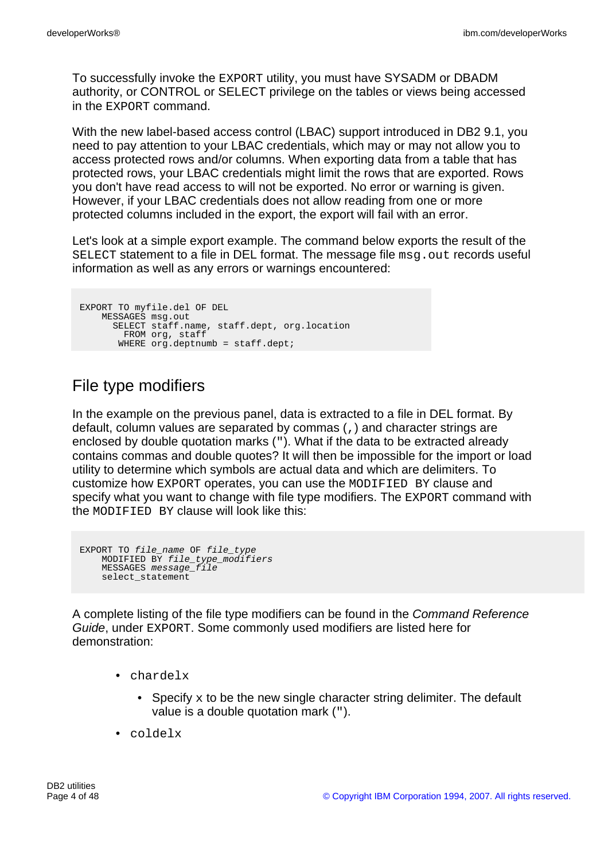To successfully invoke the EXPORT utility, you must have SYSADM or DBADM authority, or CONTROL or SELECT privilege on the tables or views being accessed in the EXPORT command.

With the new label-based access control (LBAC) support introduced in DB2 9.1, you need to pay attention to your LBAC credentials, which may or may not allow you to access protected rows and/or columns. When exporting data from a table that has protected rows, your LBAC credentials might limit the rows that are exported. Rows you don't have read access to will not be exported. No error or warning is given. However, if your LBAC credentials does not allow reading from one or more protected columns included in the export, the export will fail with an error.

Let's look at a simple export example. The command below exports the result of the SELECT statement to a file in DEL format. The message file  $\text{msg}_1$  out records useful information as well as any errors or warnings encountered:

```
EXPORT TO myfile.del OF DEL
   MESSAGES msg.out
     SELECT staff.name, staff.dept, org.location
       FROM org, staff
      WHERE org.deptnumb = staff.dept;
```
## File type modifiers

In the example on the previous panel, data is extracted to a file in DEL format. By default, column values are separated by commas (,) and character strings are enclosed by double quotation marks ("). What if the data to be extracted already contains commas and double quotes? It will then be impossible for the import or load utility to determine which symbols are actual data and which are delimiters. To customize how EXPORT operates, you can use the MODIFIED BY clause and specify what you want to change with file type modifiers. The EXPORT command with the MODIFIED BY clause will look like this:

```
EXPORT TO file_name OF file_type
  MODIFIED BY file_type_modifiers
   MESSAGES message_file
   select_statement
```
A complete listing of the file type modifiers can be found in the Command Reference Guide, under EXPORT. Some commonly used modifiers are listed here for demonstration:

- chardelx
	- Specify  $x$  to be the new single character string delimiter. The default value is a double quotation mark (").
- coldelx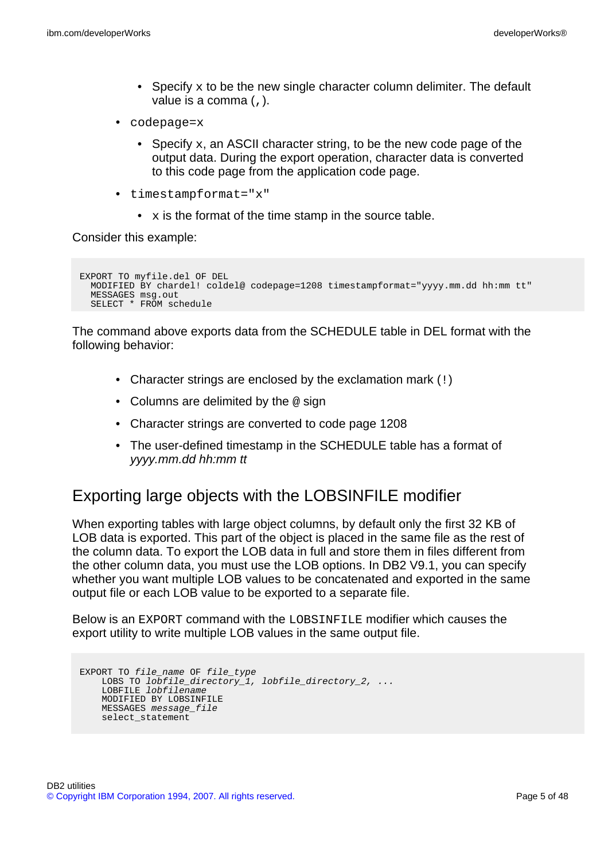- Specify  $x$  to be the new single character column delimiter. The default value is a comma  $($ ,).
- codepage=x
	- Specify  $x$ , an ASCII character string, to be the new code page of the output data. During the export operation, character data is converted to this code page from the application code page.
- timestampformat="x"
	- $\bullet$  x is the format of the time stamp in the source table.

Consider this example:

```
EXPORT TO myfile.del OF DEL
 MODIFIED BY chardel! coldel@ codepage=1208 timestampformat="yyyy.mm.dd hh:mm tt"
 MESSAGES msg.out
  SELECT * FROM schedule
```
The command above exports data from the SCHEDULE table in DEL format with the following behavior:

- Character strings are enclosed by the exclamation mark (!)
- Columns are delimited by the @ sign
- Character strings are converted to code page 1208
- The user-defined timestamp in the SCHEDULE table has a format of yyyy.mm.dd hh:mm tt

### Exporting large objects with the LOBSINFILE modifier

When exporting tables with large object columns, by default only the first 32 KB of LOB data is exported. This part of the object is placed in the same file as the rest of the column data. To export the LOB data in full and store them in files different from the other column data, you must use the LOB options. In DB2 V9.1, you can specify whether you want multiple LOB values to be concatenated and exported in the same output file or each LOB value to be exported to a separate file.

Below is an EXPORT command with the LOBSINFILE modifier which causes the export utility to write multiple LOB values in the same output file.

```
EXPORT TO file_name OF file_type
   LOBS TO lobfile_directory_1, lobfile_directory_2, ...
   LOBFILE lobfilename
   MODIFIED BY LOBSINFILE
   MESSAGES message_file
   select_statement
```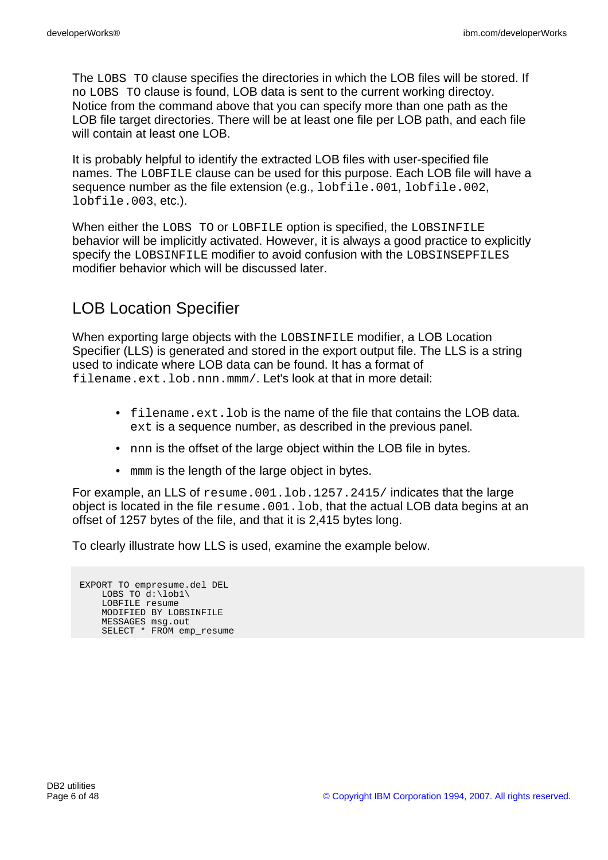The LOBS TO clause specifies the directories in which the LOB files will be stored. If no LOBS TO clause is found, LOB data is sent to the current working directoy. Notice from the command above that you can specify more than one path as the LOB file target directories. There will be at least one file per LOB path, and each file will contain at least one LOB.

It is probably helpful to identify the extracted LOB files with user-specified file names. The LOBFILE clause can be used for this purpose. Each LOB file will have a sequence number as the file extension (e.g., lobfile.001, lobfile.002, lobfile.003, etc.).

When either the LOBS TO OF LOBFILE option is specified, the LOBSINFILE behavior will be implicitly activated. However, it is always a good practice to explicitly specify the LOBSINFILE modifier to avoid confusion with the LOBSINSEPFILES modifier behavior which will be discussed later.

## LOB Location Specifier

When exporting large objects with the LOBSINFILE modifier, a LOB Location Specifier (LLS) is generated and stored in the export output file. The LLS is a string used to indicate where LOB data can be found. It has a format of filename.ext.lob.nnn.mmm/. Let's look at that in more detail:

- $\bullet$  filename.ext.lob is the name of the file that contains the LOB data. ext is a sequence number, as described in the previous panel.
- nnn is the offset of the large object within the LOB file in bytes.
- mmm is the length of the large object in bytes.

For example, an LLS of resume.001.1ob.1257.2415/ indicates that the large object is located in the file resume.001.lob, that the actual LOB data begins at an offset of 1257 bytes of the file, and that it is 2,415 bytes long.

To clearly illustrate how LLS is used, examine the example below.

EXPORT TO empresume.del DEL LOBS TO d:\lob1\ LOBFILE resume MODIFIED BY LOBSINFILE MESSAGES msg.out SELECT \* FROM emp\_resume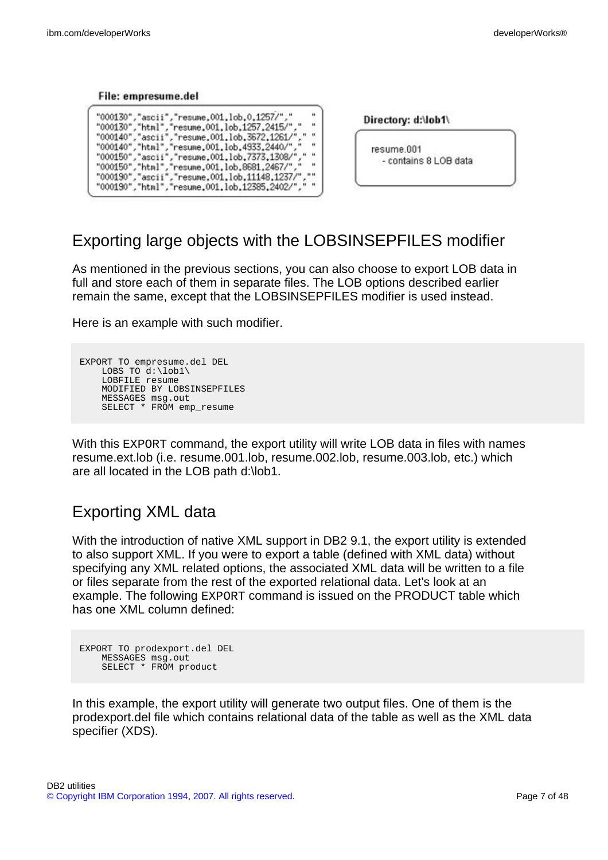#### File: empresume.del

| "000130","ascii","resume.001.lob.0.1257/","    |          |
|------------------------------------------------|----------|
| "000130","html","resume.001.lob.1257.2415/","  |          |
| "000140","ascii","resume.001.lob.3672.1261/",  |          |
| "000140","html","resume.001.lob.4933.2440/",   |          |
| "000150","ascii","resume.001.lob.7373.1308/"," | $\cdots$ |
| "000150","html","resume.001.lob.8681.2467/","  |          |
| "000190","ascii","resume.001.lob.11148.1237/", |          |
| "000190","html","resume.001.lob.12385.2402/"," |          |
|                                                |          |

Directory: d:\lob1\

resume.001 - contains 8 LOB data

## Exporting large objects with the LOBSINSEPFILES modifier

As mentioned in the previous sections, you can also choose to export LOB data in full and store each of them in separate files. The LOB options described earlier remain the same, except that the LOBSINSEPFILES modifier is used instead.

Here is an example with such modifier.

```
EXPORT TO empresume.del DEL
    LOBS TO d:\lob1\
   LOBFILE resume
   MODIFIED BY LOBSINSEPFILES
   MESSAGES msg.out
   SELECT * FROM emp_resume
```
With this EXPORT command, the export utility will write LOB data in files with names resume.ext.lob (i.e. resume.001.lob, resume.002.lob, resume.003.lob, etc.) which are all located in the LOB path d:\lob1.

## Exporting XML data

With the introduction of native XML support in DB2 9.1, the export utility is extended to also support XML. If you were to export a table (defined with XML data) without specifying any XML related options, the associated XML data will be written to a file or files separate from the rest of the exported relational data. Let's look at an example. The following EXPORT command is issued on the PRODUCT table which has one XML column defined:

```
EXPORT TO prodexport.del DEL
   MESSAGES msg.out
   SELECT * FROM product
```
In this example, the export utility will generate two output files. One of them is the prodexport.del file which contains relational data of the table as well as the XML data specifier (XDS).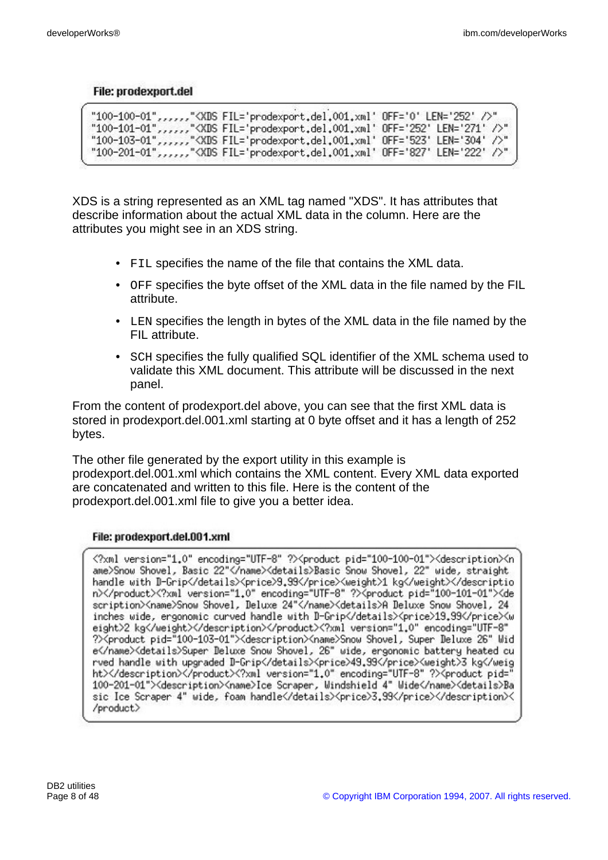#### File: prodexport.del

| "100-100-01",,,,,," <xds fil="prodexport.del.001.xml" len="252" off="0"></xds> "   |  |
|------------------------------------------------------------------------------------|--|
| "100-101-01",,,,,," <xds fil="prodexport.del.001.xml" len="271" off="252"></xds> " |  |
| "100-103-01",,,,,," <xds fil="prodexport.del.001.xml" len="304" off="523"></xds> " |  |
| "100-201-01",,,,,," <xds fil="prodexport.del.001.xml" len="222" off="827"></xds> " |  |

XDS is a string represented as an XML tag named "XDS". It has attributes that describe information about the actual XML data in the column. Here are the attributes you might see in an XDS string.

- FIL specifies the name of the file that contains the XML data.
- OFF specifies the byte offset of the XML data in the file named by the FIL attribute.
- LEN specifies the length in bytes of the XML data in the file named by the FIL attribute.
- SCH specifies the fully qualified SQL identifier of the XML schema used to validate this XML document. This attribute will be discussed in the next panel.

From the content of prodexport.del above, you can see that the first XML data is stored in prodexport.del.001.xml starting at 0 byte offset and it has a length of 252 bytes.

The other file generated by the export utility in this example is prodexport.del.001.xml which contains the XML content. Every XML data exported are concatenated and written to this file. Here is the content of the prodexport.del.001.xml file to give you a better idea.

#### File: prodexport.del.001.xml

<?xml version="1.0" encoding="UTF-8" ?><product\_pid="100-100-01"><description><n ame>Snow Shovel, Basic 22"</name><details>Basic Snow Shovel, 22" wide, straight handle with D-Grip</details><price>9.99</price><weight>1 kg</weight></descriptio n></product><?xml version="1.0" encoding="UTF-8" ?><product pid="100-101-01"><de scription><name>Snow Shovel, Deluxe 24"</name><details>A Deluxe Snow Shovel, 24 inches wide, ergonomic curved handle with D-Grip</details><price>19.99</price><w eight>2 kg</weight></description></product><?xml version="1.0" encoding="UTF-8" ?><product pid="100-103-01"><description><name>Snow Shovel, Super Deluxe 26" Wid e</name><details>Super Deluxe Snow Shovel, 26" wide, ergonomic battery heated cu rved handle with upgraded D-Grip</details><price>49.99</price><weight>3 kg</weig ht></description></product><?xml version="1.0" encoding="UTF-8" ?><product pid=" 100-201-01"><description><name>Ice Scraper, Windshield 4" Wide</name><details>Ba sic Ice Scraper 4" wide, foam handle</details><price>3.99</price></description>< /product>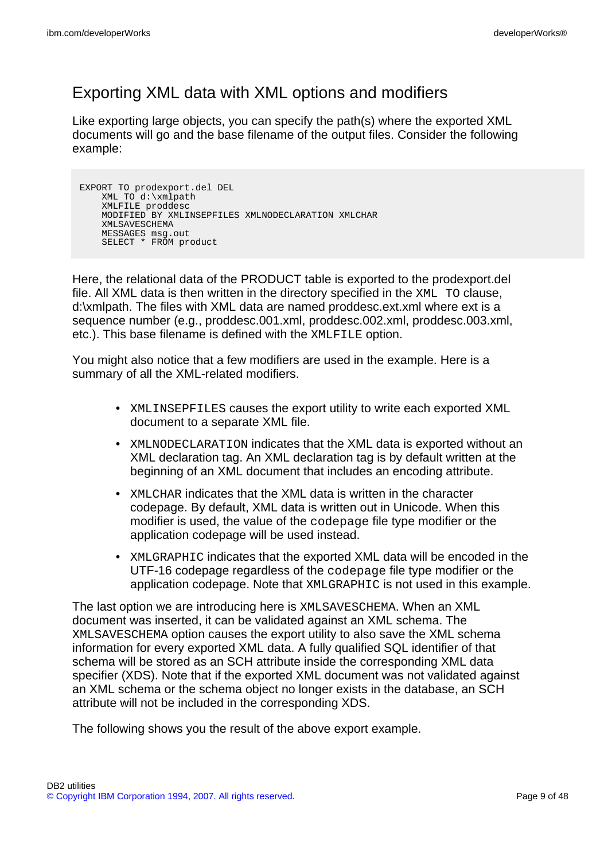## Exporting XML data with XML options and modifiers

Like exporting large objects, you can specify the path(s) where the exported XML documents will go and the base filename of the output files. Consider the following example:

```
EXPORT TO prodexport.del DEL
   XML TO d:\xmlpath
   XMLFILE proddesc
   MODIFIED BY XMLINSEPFILES XMLNODECLARATION XMLCHAR
   XMLSAVESCHEMA
   MESSAGES msg.out
   SELECT * FROM product
```
Here, the relational data of the PRODUCT table is exported to the prodexport.del file. All XML data is then written in the directory specified in the XML TO clause, d:\xmlpath. The files with XML data are named proddesc.ext.xml where ext is a sequence number (e.g., proddesc.001.xml, proddesc.002.xml, proddesc.003.xml, etc.). This base filename is defined with the XMLFILE option.

You might also notice that a few modifiers are used in the example. Here is a summary of all the XML-related modifiers.

- XMLINSEPFILES causes the export utility to write each exported XML document to a separate XML file.
- XMLNODECLARATION indicates that the XML data is exported without an XML declaration tag. An XML declaration tag is by default written at the beginning of an XML document that includes an encoding attribute.
- XMLCHAR indicates that the XML data is written in the character codepage. By default, XML data is written out in Unicode. When this modifier is used, the value of the codepage file type modifier or the application codepage will be used instead.
- XMLGRAPHIC indicates that the exported XML data will be encoded in the UTF-16 codepage regardless of the codepage file type modifier or the application codepage. Note that XMLGRAPHIC is not used in this example.

The last option we are introducing here is XMLSAVESCHEMA. When an XML document was inserted, it can be validated against an XML schema. The XMLSAVESCHEMA option causes the export utility to also save the XML schema information for every exported XML data. A fully qualified SQL identifier of that schema will be stored as an SCH attribute inside the corresponding XML data specifier (XDS). Note that if the exported XML document was not validated against an XML schema or the schema object no longer exists in the database, an SCH attribute will not be included in the corresponding XDS.

The following shows you the result of the above export example.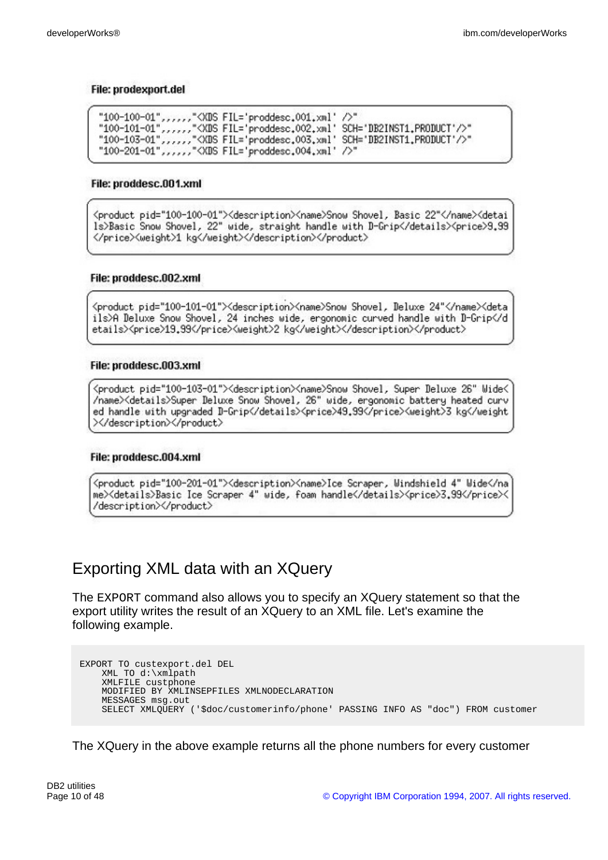#### File: prodexport.del

```
"100-100-01",,,,,,"<XDS FIL='proddesc.001.xml' />"<br>"100-101-01",,,,,,"<XDS FIL='proddesc.002.xml' SCH='DB2INST1.PRODUCT'/>"<br>"100-103-01",,,,,,"<XDS FIL='proddesc.003.xml' SCH='DB2INST1.PRODUCT'/>"<br>"100-201-01",,,,,,"<XDS
```
#### File: proddesc.001.xml

<product pid="100-100-01"><description><name>Snow Shovel, Basic 22"</name><detai ls>Basic Snow Shovel, 22" wide, straight handle with D-Grip</details><price>9.99 </price><weight>1 kg</weight></description></product>

#### File: proddesc.002.xml

<product pid="100-101-01"><description><name>Snow Shovel, Deluxe 24"</name><deta ils>A Deluxe Snow Shovel, 24 inches wide, ergonomic curved handle with D-Grip</d etails><price>19.99</price><weight>2 kg</weight></description></product>

#### File: proddesc.003.xml

<product pid="100-103-01"><description><name>Snow Shovel, Super Deluxe 26" Wide< /name><details>Super Deluxe Snow Shovel, 26" wide, ergonomic battery heated curv ed handle with upgraded D-Grip</details><price>49.99</price><weight>3 kg</weight ></description></product>

#### File: proddesc.004.xml

<product pid="100-201-01"><description><name>Ice Scraper, Windshield 4" Wide</na meXdetails>Basic Ice Scraper 4" wide, foam handle</details><price>3.99</price>< /description></product>

### Exporting XML data with an XQuery

The EXPORT command also allows you to specify an XQuery statement so that the export utility writes the result of an XQuery to an XML file. Let's examine the following example.

```
EXPORT TO custexport.del DEL
   XML TO d:\xmlpath
   XMLFILE custphone
   MODIFIED BY XMLINSEPFILES XMLNODECLARATION
    MESSAGES msg.out
    SELECT XMLQUERY ('$doc/customerinfo/phone' PASSING INFO AS "doc") FROM customer
```
The XQuery in the above example returns all the phone numbers for every customer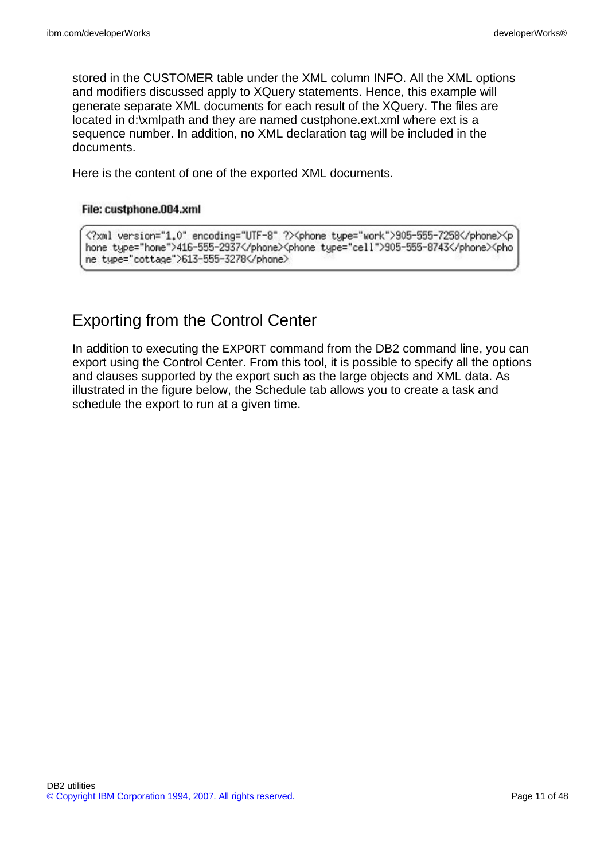stored in the CUSTOMER table under the XML column INFO. All the XML options and modifiers discussed apply to XQuery statements. Hence, this example will generate separate XML documents for each result of the XQuery. The files are located in d:\xmlpath and they are named custphone.ext.xml where ext is a sequence number. In addition, no XML declaration tag will be included in the documents.

Here is the content of one of the exported XML documents.

#### File: custphone.004.xml

```
<?xml version="1.0" encoding="UTF-8" ?><phone type="work">905-555-7258</phone><p
hone type="home">416-555-2937</phone><phone type="cell">905-555-8743</phone><pho
ne tupe="cottage">613-555-3278</phone>
```
## Exporting from the Control Center

In addition to executing the EXPORT command from the DB2 command line, you can export using the Control Center. From this tool, it is possible to specify all the options and clauses supported by the export such as the large objects and XML data. As illustrated in the figure below, the Schedule tab allows you to create a task and schedule the export to run at a given time.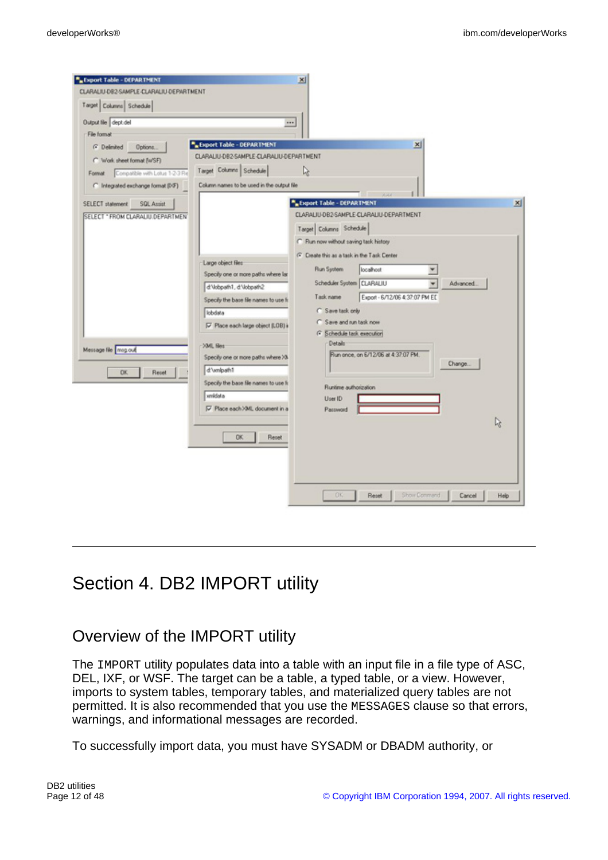| Output file dept del<br>File format<br><sup>(2</sup> Delinited)<br>Options.<br>C Work sheet format (WSF)<br>Compatible with Lotus 1-2-3 Re<br>Format<br>C Integrated exchange format (D/F) | <br>" Export Table - DEPARTMENT<br>CLARALIU-DB2-SAMPLE-CLARALIU-DEPARTMENT<br>Target Columns Schedule<br>Column names to be used in the output file                                                                                                                                                                                                          | $\vert x \vert$<br>્રિ                                                                                                                                                                                                                                                                                                                                                                                                                                                                                             |                |
|--------------------------------------------------------------------------------------------------------------------------------------------------------------------------------------------|--------------------------------------------------------------------------------------------------------------------------------------------------------------------------------------------------------------------------------------------------------------------------------------------------------------------------------------------------------------|--------------------------------------------------------------------------------------------------------------------------------------------------------------------------------------------------------------------------------------------------------------------------------------------------------------------------------------------------------------------------------------------------------------------------------------------------------------------------------------------------------------------|----------------|
| SELECT statement<br><b>SOL Assist</b><br>SELECT "FROM CLARALIU.DEPARTMEN"<br>Message file mog out<br>Reset<br>OK.                                                                          | Large object files<br>Specify one or more paths where lar<br>d'Vobpath1, d'Vobpath2<br>Specify the base file names to use fo<br>lobdata<br>F Place each large object (LOB) is<br><b>204L files</b><br>Specify one or more paths where XX<br>d'umlpath1<br>Specify the base file names to use fo<br>xmidata<br>○ Place each XML document in a<br>Reset<br>OK: | 1.44<br>" Export Table - DEPARTMENT<br>CLARALIU-DB2-SAMPLE-CLARALIU-DEPARTMENT<br>Target Columns Schedule<br>C Run now without saving task history<br>G Create this as a task in the Task Center<br>Run System<br>localhost<br>Scheduler System CLARALIU<br>Advanced.<br>٠<br>Task name<br>Export - 6/12/06 4:37:07 PM ED<br>C Save task only<br>C Save and run task now<br>G Schedule task execution<br>Details<br>Run once, on 6/12/06 at 4:37:07 PM.<br>Change.<br>Runtime authorization<br>User ID<br>Password | $\mathfrak{g}$ |

# Section 4. DB2 IMPORT utility

### Overview of the IMPORT utility

The IMPORT utility populates data into a table with an input file in a file type of ASC, DEL, IXF, or WSF. The target can be a table, a typed table, or a view. However, imports to system tables, temporary tables, and materialized query tables are not permitted. It is also recommended that you use the MESSAGES clause so that errors, warnings, and informational messages are recorded.

To successfully import data, you must have SYSADM or DBADM authority, or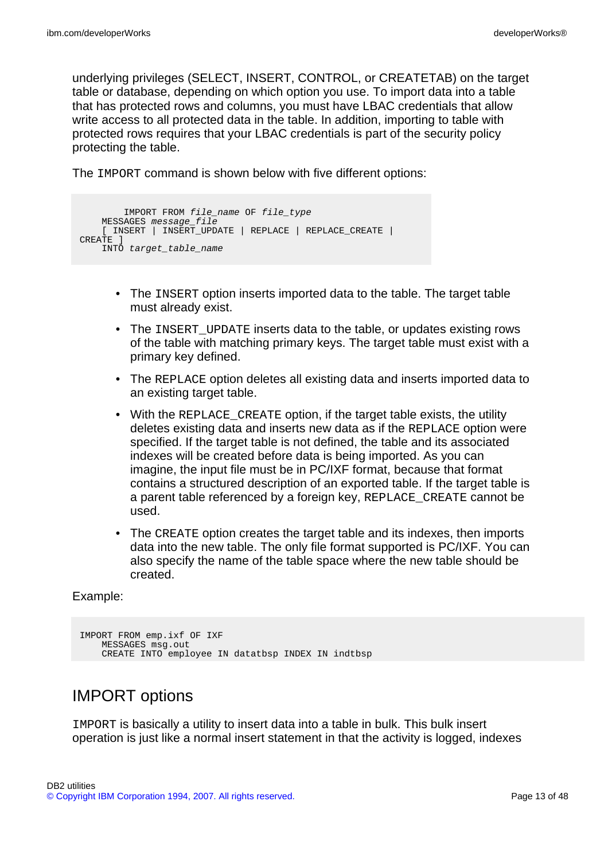underlying privileges (SELECT, INSERT, CONTROL, or CREATETAB) on the target table or database, depending on which option you use. To import data into a table that has protected rows and columns, you must have LBAC credentials that allow write access to all protected data in the table. In addition, importing to table with protected rows requires that your LBAC credentials is part of the security policy protecting the table.

The IMPORT command is shown below with five different options:

```
IMPORT FROM file_name OF file_type
   MESSAGES message_file
   [ INSERT | INSERT_UPDATE | REPLACE | REPLACE_CREATE |
CREATE ]
   INTO target_table_name
```
- The INSERT option inserts imported data to the table. The target table must already exist.
- The INSERT UPDATE inserts data to the table, or updates existing rows of the table with matching primary keys. The target table must exist with a primary key defined.
- The REPLACE option deletes all existing data and inserts imported data to an existing target table.
- With the REPLACE CREATE option, if the target table exists, the utility deletes existing data and inserts new data as if the REPLACE option were specified. If the target table is not defined, the table and its associated indexes will be created before data is being imported. As you can imagine, the input file must be in PC/IXF format, because that format contains a structured description of an exported table. If the target table is a parent table referenced by a foreign key, REPLACE\_CREATE cannot be used.
- The CREATE option creates the target table and its indexes, then imports data into the new table. The only file format supported is PC/IXF. You can also specify the name of the table space where the new table should be created.

#### Example:

```
IMPORT FROM emp.ixf OF IXF
   MESSAGES msg.out
   CREATE INTO employee IN datatbsp INDEX IN indtbsp
```
### IMPORT options

IMPORT is basically a utility to insert data into a table in bulk. This bulk insert operation is just like a normal insert statement in that the activity is logged, indexes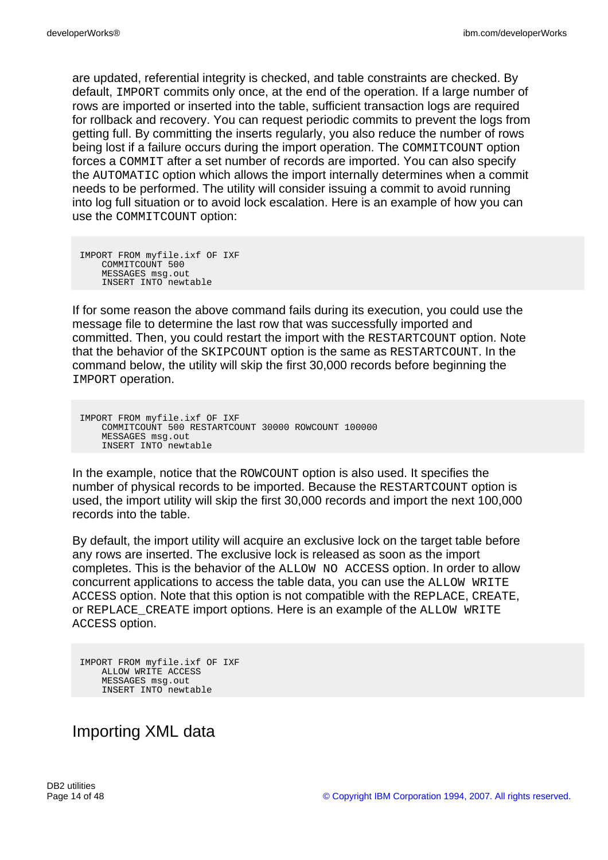are updated, referential integrity is checked, and table constraints are checked. By default, IMPORT commits only once, at the end of the operation. If a large number of rows are imported or inserted into the table, sufficient transaction logs are required for rollback and recovery. You can request periodic commits to prevent the logs from getting full. By committing the inserts regularly, you also reduce the number of rows being lost if a failure occurs during the import operation. The COMMITCOUNT option forces a COMMIT after a set number of records are imported. You can also specify the AUTOMATIC option which allows the import internally determines when a commit needs to be performed. The utility will consider issuing a commit to avoid running into log full situation or to avoid lock escalation. Here is an example of how you can use the COMMITCOUNT option:

IMPORT FROM myfile.ixf OF IXF COMMITCOUNT 500 MESSAGES msg.out INSERT INTO newtable

If for some reason the above command fails during its execution, you could use the message file to determine the last row that was successfully imported and committed. Then, you could restart the import with the RESTARTCOUNT option. Note that the behavior of the SKIPCOUNT option is the same as RESTARTCOUNT. In the command below, the utility will skip the first 30,000 records before beginning the IMPORT operation.

IMPORT FROM myfile.ixf OF IXF COMMITCOUNT 500 RESTARTCOUNT 30000 ROWCOUNT 100000 MESSAGES msg.out INSERT INTO newtable

In the example, notice that the ROWCOUNT option is also used. It specifies the number of physical records to be imported. Because the RESTARTCOUNT option is used, the import utility will skip the first 30,000 records and import the next 100,000 records into the table.

By default, the import utility will acquire an exclusive lock on the target table before any rows are inserted. The exclusive lock is released as soon as the import completes. This is the behavior of the ALLOW NO ACCESS option. In order to allow concurrent applications to access the table data, you can use the ALLOW WRITE ACCESS option. Note that this option is not compatible with the REPLACE, CREATE, or REPLACE\_CREATE import options. Here is an example of the ALLOW WRITE ACCESS option.

IMPORT FROM myfile.ixf OF IXF ALLOW WRITE ACCESS MESSAGES msg.out INSERT INTO newtable

## Importing XML data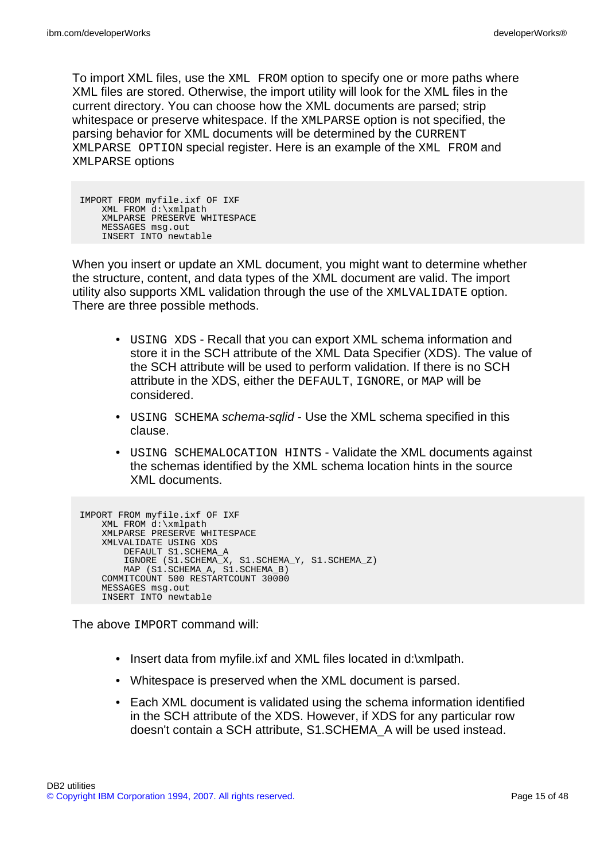To import XML files, use the XML FROM option to specify one or more paths where XML files are stored. Otherwise, the import utility will look for the XML files in the current directory. You can choose how the XML documents are parsed; strip whitespace or preserve whitespace. If the XMLPARSE option is not specified, the parsing behavior for XML documents will be determined by the CURRENT XMLPARSE OPTION special register. Here is an example of the XML FROM and XMLPARSE options

```
IMPORT FROM myfile.ixf OF IXF
   XML FROM d:\xmlpath
   XMLPARSE PRESERVE WHITESPACE
   MESSAGES msg.out
   INSERT INTO newtable
```
When you insert or update an XML document, you might want to determine whether the structure, content, and data types of the XML document are valid. The import utility also supports XML validation through the use of the XMLVALIDATE option. There are three possible methods.

- USING XDS Recall that you can export XML schema information and store it in the SCH attribute of the XML Data Specifier (XDS). The value of the SCH attribute will be used to perform validation. If there is no SCH attribute in the XDS, either the DEFAULT, IGNORE, or MAP will be considered.
- USING SCHEMA schema-sqlid Use the XML schema specified in this clause.
- USING SCHEMALOCATION HINTS Validate the XML documents against the schemas identified by the XML schema location hints in the source XML documents.

```
IMPORT FROM myfile.ixf OF IXF
   XML FROM d:\xmlpath
   XMLPARSE PRESERVE WHITESPACE
   XMLVALIDATE USING XDS
       DEFAULT S1.SCHEMA_A
        IGNORE (S1.SCHEMA_X, S1.SCHEMA_Y, S1.SCHEMA_Z)
       MAP (S1.SCHEMA_A, S1.SCHEMA_B)
   COMMITCOUNT 500 RESTARTCOUNT 30000
   MESSAGES msg.out
   INSERT INTO newtable
```
The above IMPORT command will:

- Insert data from myfile.ixf and XML files located in d:\xmlpath.
- Whitespace is preserved when the XML document is parsed.
- Each XML document is validated using the schema information identified in the SCH attribute of the XDS. However, if XDS for any particular row doesn't contain a SCH attribute, S1.SCHEMA\_A will be used instead.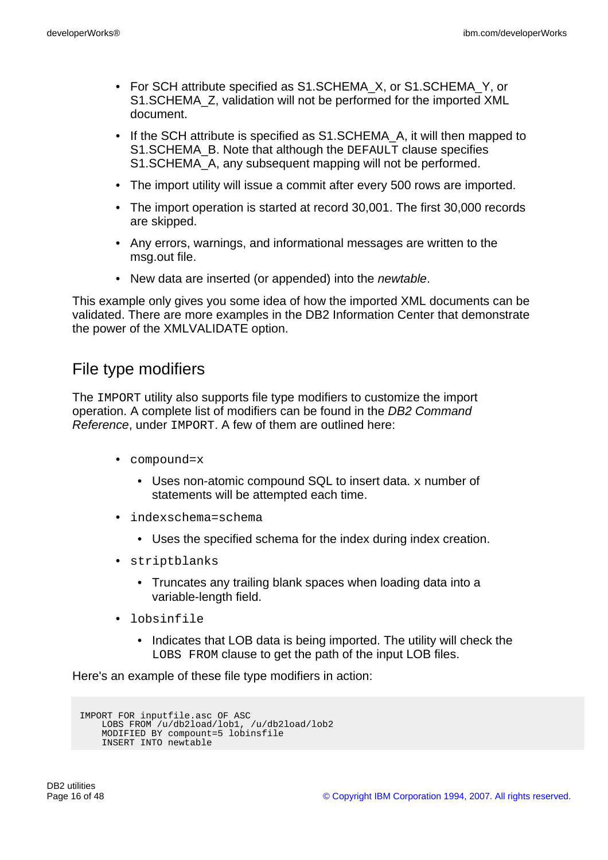- For SCH attribute specified as S1.SCHEMA\_X, or S1.SCHEMA\_Y, or S1.SCHEMA\_Z, validation will not be performed for the imported XML document.
- If the SCH attribute is specified as S1.SCHEMA\_A, it will then mapped to S1.SCHEMA\_B. Note that although the DEFAULT clause specifies S1.SCHEMA\_A, any subsequent mapping will not be performed.
- The import utility will issue a commit after every 500 rows are imported.
- The import operation is started at record 30,001. The first 30,000 records are skipped.
- Any errors, warnings, and informational messages are written to the msg.out file.
- New data are inserted (or appended) into the *newtable*.

This example only gives you some idea of how the imported XML documents can be validated. There are more examples in the DB2 Information Center that demonstrate the power of the XMLVALIDATE option.

### File type modifiers

The IMPORT utility also supports file type modifiers to customize the import operation. A complete list of modifiers can be found in the DB2 Command Reference, under IMPORT. A few of them are outlined here:

- compound=x
	- Uses non-atomic compound SQL to insert data. x number of statements will be attempted each time.
- indexschema=schema
	- Uses the specified schema for the index during index creation.
- striptblanks
	- Truncates any trailing blank spaces when loading data into a variable-length field.
- lobsinfile
	- Indicates that LOB data is being imported. The utility will check the LOBS FROM clause to get the path of the input LOB files.

Here's an example of these file type modifiers in action:

```
IMPORT FOR inputfile.asc OF ASC
   LOBS FROM /u/db2load/lob1, /u/db2load/lob2
    MODIFIED BY compount=5 lobinsfile
   INSERT INTO newtable
```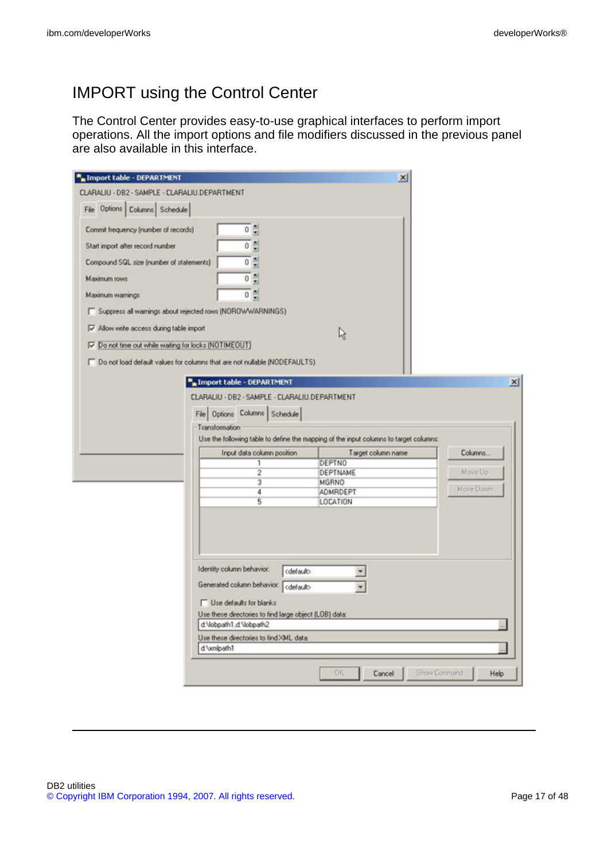## IMPORT using the Control Center

The Control Center provides easy-to-use graphical interfaces to perform import operations. All the import options and file modifiers discussed in the previous panel are also available in this interface.

|                                                                           |                                                                                                                                                                                                                 | $\vert x \vert$                                                                       |           |
|---------------------------------------------------------------------------|-----------------------------------------------------------------------------------------------------------------------------------------------------------------------------------------------------------------|---------------------------------------------------------------------------------------|-----------|
| CLARALIU - DB2 - SAMPLE - CLARALIU.DEPARTMENT                             |                                                                                                                                                                                                                 |                                                                                       |           |
| File Options Columns Schedule                                             |                                                                                                                                                                                                                 |                                                                                       |           |
| Commit frequency (number of records)                                      | 이름                                                                                                                                                                                                              |                                                                                       |           |
| Start import after record number                                          | $\frac{1}{2}$                                                                                                                                                                                                   |                                                                                       |           |
| Compound SQL size (number of statements)                                  | 릘<br>Ŭ.                                                                                                                                                                                                         |                                                                                       |           |
| Maximum rows                                                              | 름<br>0                                                                                                                                                                                                          |                                                                                       |           |
| Maximum warnings                                                          | $\frac{1}{2}$                                                                                                                                                                                                   |                                                                                       |           |
| Suppress all warnings about rejected rows (NOROWWARNINGS)                 |                                                                                                                                                                                                                 |                                                                                       |           |
| Allow write access during table import                                    |                                                                                                                                                                                                                 |                                                                                       |           |
| O po not time out while waiting for locks (NOTIMEOUT)                     |                                                                                                                                                                                                                 | r (                                                                                   |           |
| Do not load default values for columns that are not nullable (NODEFAULTS) |                                                                                                                                                                                                                 |                                                                                       |           |
|                                                                           | File Options Columns Schedule<br>Transformation                                                                                                                                                                 |                                                                                       |           |
|                                                                           |                                                                                                                                                                                                                 | Use the following table to define the mapping of the input columns to target columns: |           |
|                                                                           | Input data column position                                                                                                                                                                                      | Target column name                                                                    | Columns.  |
|                                                                           | 1<br>$\overline{2}$                                                                                                                                                                                             | DEPTNO<br>DEPTNAME                                                                    | Move Up.  |
|                                                                           | 3                                                                                                                                                                                                               | MGRNO                                                                                 | Move Down |
|                                                                           | 4<br>5                                                                                                                                                                                                          | ADMRDEPT<br>LOCATION                                                                  |           |
|                                                                           | Identity column behavior:<br>cdefault><br>Generated column behavior:<br><default><br/>Use defaults for blanks<br/>Use these directories to find large object (LOB) data:<br/>d: Vobpath1, d: Vobpath2</default> |                                                                                       |           |
|                                                                           | Use these directories to find XML data:                                                                                                                                                                         |                                                                                       |           |
|                                                                           | d \xmlpath1                                                                                                                                                                                                     |                                                                                       |           |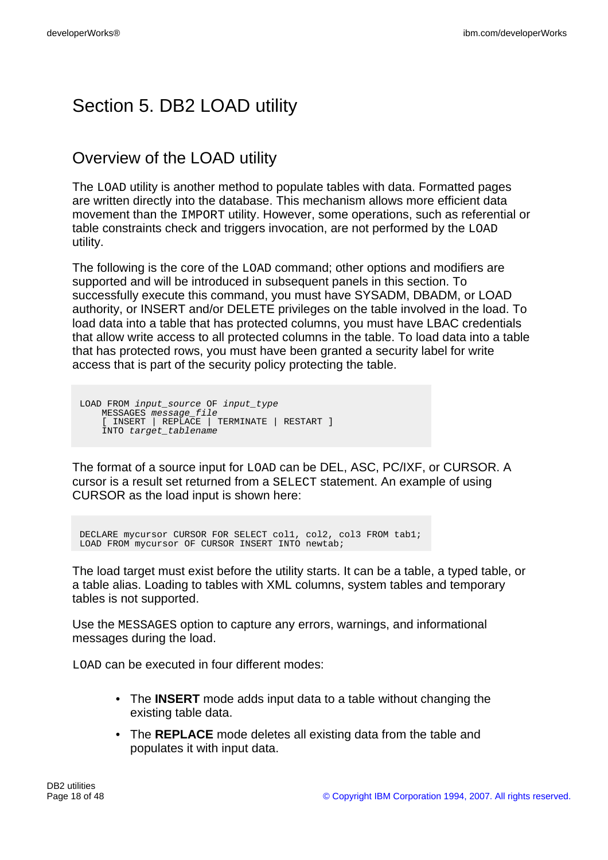# Section 5. DB2 LOAD utility

## Overview of the LOAD utility

The LOAD utility is another method to populate tables with data. Formatted pages are written directly into the database. This mechanism allows more efficient data movement than the IMPORT utility. However, some operations, such as referential or table constraints check and triggers invocation, are not performed by the LOAD utility.

The following is the core of the LOAD command; other options and modifiers are supported and will be introduced in subsequent panels in this section. To successfully execute this command, you must have SYSADM, DBADM, or LOAD authority, or INSERT and/or DELETE privileges on the table involved in the load. To load data into a table that has protected columns, you must have LBAC credentials that allow write access to all protected columns in the table. To load data into a table that has protected rows, you must have been granted a security label for write access that is part of the security policy protecting the table.

```
LOAD FROM input_source OF input_type
    MESSAGES message_file
    [ INSERT | REPLACE | TERMINATE | RESTART ]
    INTO target_tablename
```
The format of a source input for LOAD can be DEL, ASC, PC/IXF, or CURSOR. A cursor is a result set returned from a SELECT statement. An example of using CURSOR as the load input is shown here:

DECLARE mycursor CURSOR FOR SELECT col1, col2, col3 FROM tab1; LOAD FROM mycursor OF CURSOR INSERT INTO newtab;

The load target must exist before the utility starts. It can be a table, a typed table, or a table alias. Loading to tables with XML columns, system tables and temporary tables is not supported.

Use the MESSAGES option to capture any errors, warnings, and informational messages during the load.

LOAD can be executed in four different modes:

- The **INSERT** mode adds input data to a table without changing the existing table data.
- The **REPLACE** mode deletes all existing data from the table and populates it with input data.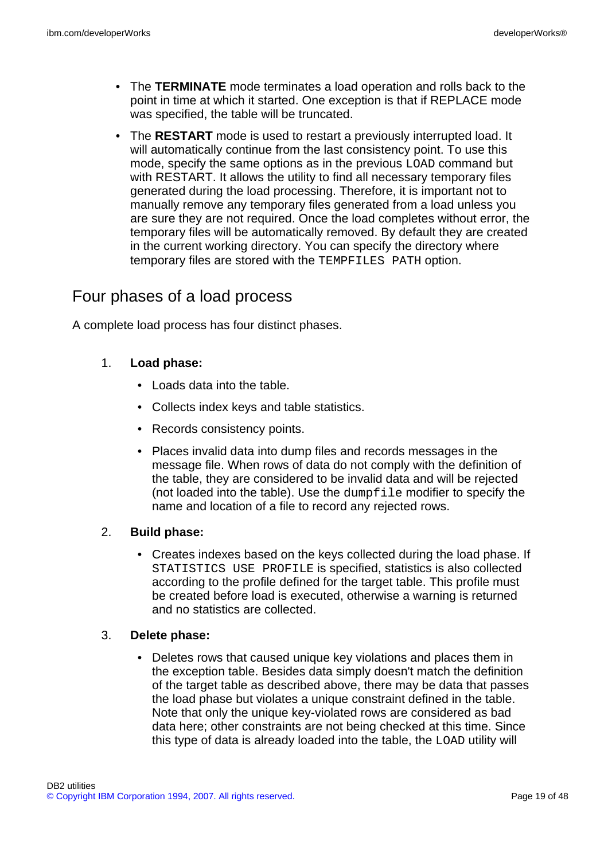- The **TERMINATE** mode terminates a load operation and rolls back to the point in time at which it started. One exception is that if REPLACE mode was specified, the table will be truncated.
- The **RESTART** mode is used to restart a previously interrupted load. It will automatically continue from the last consistency point. To use this mode, specify the same options as in the previous LOAD command but with RESTART. It allows the utility to find all necessary temporary files generated during the load processing. Therefore, it is important not to manually remove any temporary files generated from a load unless you are sure they are not required. Once the load completes without error, the temporary files will be automatically removed. By default they are created in the current working directory. You can specify the directory where temporary files are stored with the TEMPFILES PATH option.

## <span id="page-18-0"></span>Four phases of a load process

A complete load process has four distinct phases.

### 1. **Load phase:**

- Loads data into the table.
- Collects index keys and table statistics.
- Records consistency points.
- Places invalid data into dump files and records messages in the message file. When rows of data do not comply with the definition of the table, they are considered to be invalid data and will be rejected (not loaded into the table). Use the dumpfile modifier to specify the name and location of a file to record any rejected rows.

### 2. **Build phase:**

• Creates indexes based on the keys collected during the load phase. If STATISTICS USE PROFILE is specified, statistics is also collected according to the profile defined for the target table. This profile must be created before load is executed, otherwise a warning is returned and no statistics are collected.

### 3. **Delete phase:**

• Deletes rows that caused unique key violations and places them in the exception table. Besides data simply doesn't match the definition of the target table as described above, there may be data that passes the load phase but violates a unique constraint defined in the table. Note that only the unique key-violated rows are considered as bad data here; other constraints are not being checked at this time. Since this type of data is already loaded into the table, the LOAD utility will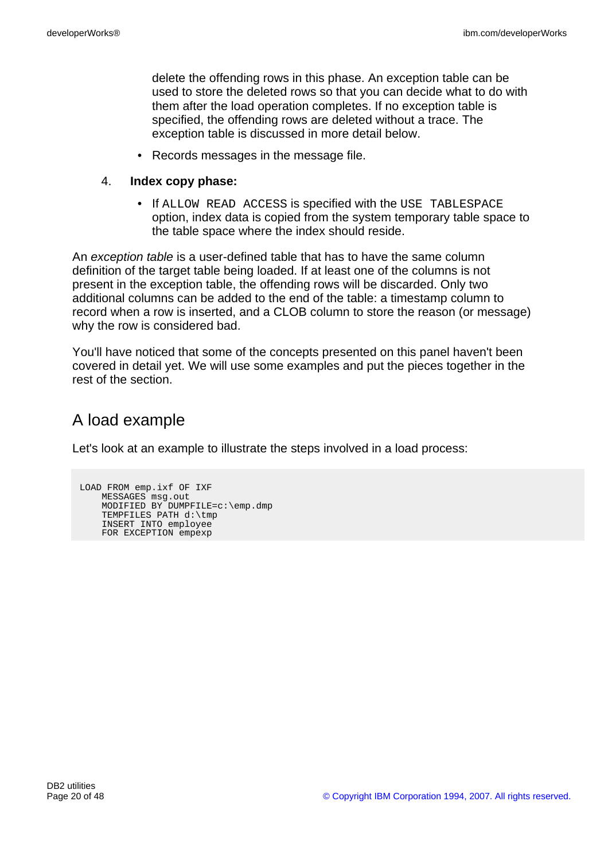delete the offending rows in this phase. An exception table can be used to store the deleted rows so that you can decide what to do with them after the load operation completes. If no exception table is specified, the offending rows are deleted without a trace. The exception table is discussed in more detail below.

• Records messages in the message file.

#### 4. **Index copy phase:**

• If ALLOW READ ACCESS is specified with the USE TABLESPACE option, index data is copied from the system temporary table space to the table space where the index should reside.

An exception table is a user-defined table that has to have the same column definition of the target table being loaded. If at least one of the columns is not present in the exception table, the offending rows will be discarded. Only two additional columns can be added to the end of the table: a timestamp column to record when a row is inserted, and a CLOB column to store the reason (or message) why the row is considered bad.

You'll have noticed that some of the concepts presented on this panel haven't been covered in detail yet. We will use some examples and put the pieces together in the rest of the section.

### A load example

Let's look at an example to illustrate the steps involved in a load process:

```
LOAD FROM emp.ixf OF IXF
    MESSAGES msg.out
    MODIFIED BY DUMPFILE=c:\emp.dmp
   TEMPFILES PATH d:\tmp
   INSERT INTO employee
   FOR EXCEPTION empexp
```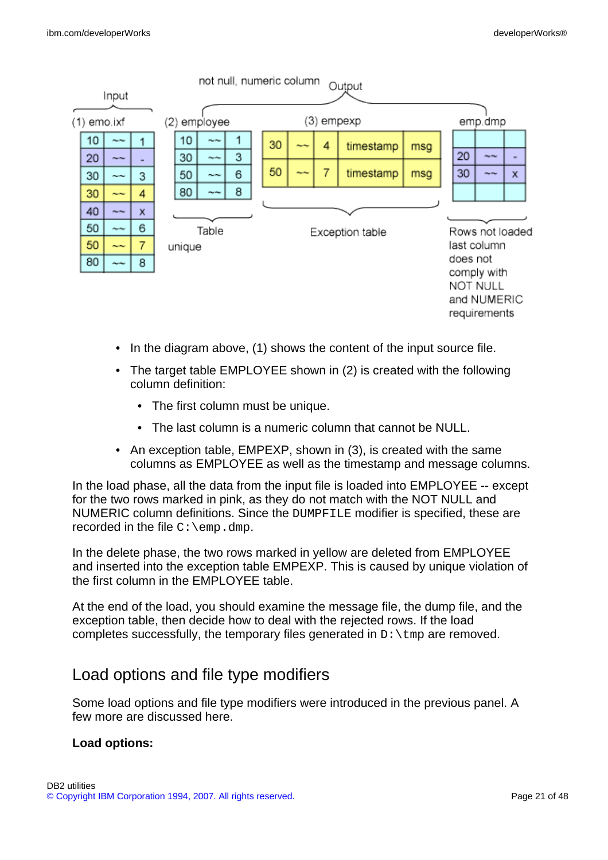

- In the diagram above, (1) shows the content of the input source file.
- The target table EMPLOYEE shown in (2) is created with the following column definition:
	- The first column must be unique.
	- The last column is a numeric column that cannot be NULL.
- An exception table, EMPEXP, shown in (3), is created with the same columns as EMPLOYEE as well as the timestamp and message columns.

In the load phase, all the data from the input file is loaded into EMPLOYEE -- except for the two rows marked in pink, as they do not match with the NOT NULL and NUMERIC column definitions. Since the DUMPFILE modifier is specified, these are recorded in the file  $C:\emptyset$ emp.dmp.

In the delete phase, the two rows marked in yellow are deleted from EMPLOYEE and inserted into the exception table EMPEXP. This is caused by unique violation of the first column in the EMPLOYEE table.

At the end of the load, you should examine the message file, the dump file, and the exception table, then decide how to deal with the rejected rows. If the load completes successfully, the temporary files generated in  $D:\temp$  are removed.

### Load options and file type modifiers

Some load options and file type modifiers were introduced in the previous panel. A few more are discussed here.

### **Load options:**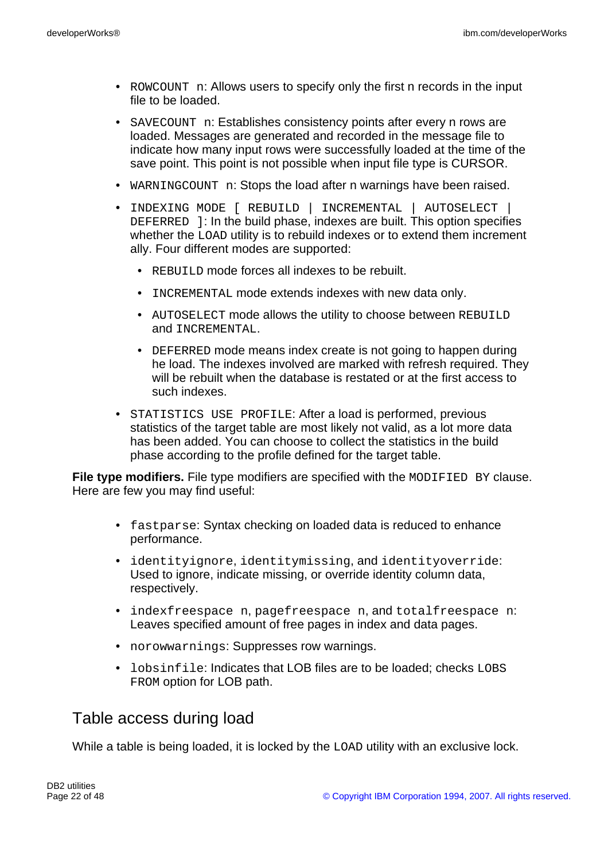- ROWCOUNT n: Allows users to specify only the first n records in the input file to be loaded.
- SAVECOUNT n: Establishes consistency points after every n rows are loaded. Messages are generated and recorded in the message file to indicate how many input rows were successfully loaded at the time of the save point. This point is not possible when input file type is CURSOR.
- WARNINGCOUNT n: Stops the load after n warnings have been raised.
- INDEXING MODE [ REBUILD | INCREMENTAL | AUTOSELECT | DEFERRED ]: In the build phase, indexes are built. This option specifies whether the LOAD utility is to rebuild indexes or to extend them increment ally. Four different modes are supported:
	- REBUILD mode forces all indexes to be rebuilt.
	- INCREMENTAL mode extends indexes with new data only.
	- AUTOSELECT mode allows the utility to choose between REBUILD and INCREMENTAL.
	- DEFERRED mode means index create is not going to happen during he load. The indexes involved are marked with refresh required. They will be rebuilt when the database is restated or at the first access to such indexes.
- STATISTICS USE PROFILE: After a load is performed, previous statistics of the target table are most likely not valid, as a lot more data has been added. You can choose to collect the statistics in the build phase according to the profile defined for the target table.

**File type modifiers.** File type modifiers are specified with the MODIFIED BY clause. Here are few you may find useful:

- fastparse: Syntax checking on loaded data is reduced to enhance performance.
- identityignore, identitymissing, and identityoverride: Used to ignore, indicate missing, or override identity column data, respectively.
- indexfreespace n, pagefreespace n, and totalfreespace n: Leaves specified amount of free pages in index and data pages.
- norowwarnings: Suppresses row warnings.
- lobsinfile: Indicates that LOB files are to be loaded; checks LOBS FROM option for LOB path.

### Table access during load

While a table is being loaded, it is locked by the LOAD utility with an exclusive lock.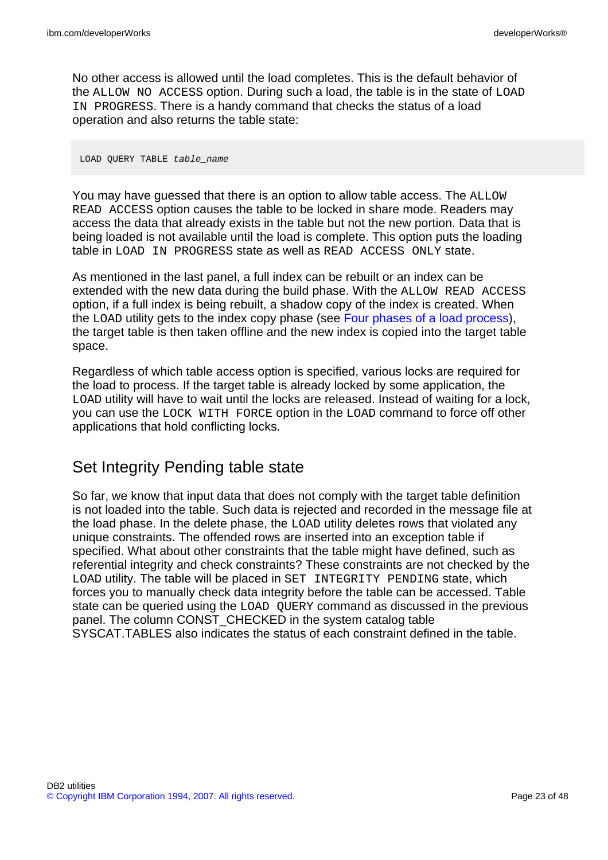No other access is allowed until the load completes. This is the default behavior of the ALLOW NO ACCESS option. During such a load, the table is in the state of LOAD IN PROGRESS. There is a handy command that checks the status of a load operation and also returns the table state:

#### LOAD QUERY TABLE table\_name

You may have guessed that there is an option to allow table access. The ALLOW READ ACCESS option causes the table to be locked in share mode. Readers may access the data that already exists in the table but not the new portion. Data that is being loaded is not available until the load is complete. This option puts the loading table in LOAD IN PROGRESS state as well as READ ACCESS ONLY state.

As mentioned in the last panel, a full index can be rebuilt or an index can be extended with the new data during the build phase. With the ALLOW READ ACCESS option, if a full index is being rebuilt, a shadow copy of the index is created. When the LOAD utility gets to the index copy phase (see [Four phases of a load process\)](#page-18-0), the target table is then taken offline and the new index is copied into the target table space.

Regardless of which table access option is specified, various locks are required for the load to process. If the target table is already locked by some application, the LOAD utility will have to wait until the locks are released. Instead of waiting for a lock, you can use the LOCK WITH FORCE option in the LOAD command to force off other applications that hold conflicting locks.

### Set Integrity Pending table state

So far, we know that input data that does not comply with the target table definition is not loaded into the table. Such data is rejected and recorded in the message file at the load phase. In the delete phase, the LOAD utility deletes rows that violated any unique constraints. The offended rows are inserted into an exception table if specified. What about other constraints that the table might have defined, such as referential integrity and check constraints? These constraints are not checked by the LOAD utility. The table will be placed in SET INTEGRITY PENDING state, which forces you to manually check data integrity before the table can be accessed. Table state can be queried using the LOAD QUERY command as discussed in the previous panel. The column CONST CHECKED in the system catalog table SYSCAT.TABLES also indicates the status of each constraint defined in the table.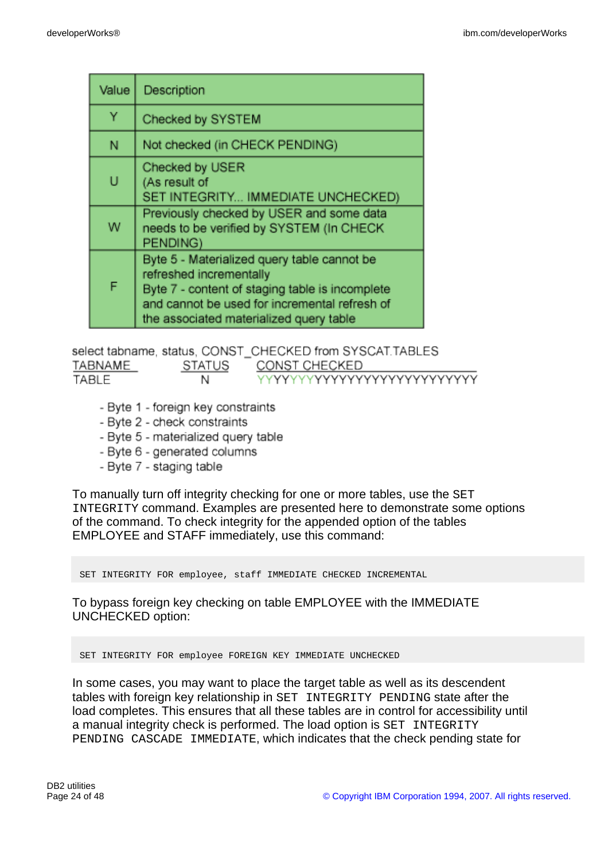| Value | Description                                                                                                                                                                                                           |
|-------|-----------------------------------------------------------------------------------------------------------------------------------------------------------------------------------------------------------------------|
| Ÿ     | Checked by SYSTEM                                                                                                                                                                                                     |
| N     | Not checked (in CHECK PENDING)                                                                                                                                                                                        |
| U     | Checked by USER<br>(As result of<br>SET INTEGRITY IMMEDIATE UNCHECKED)                                                                                                                                                |
| w     | Previously checked by USER and some data<br>needs to be verified by SYSTEM (In CHECK<br>PENDING)                                                                                                                      |
| F     | Byte 5 - Materialized query table cannot be<br>refreshed incrementally<br>Byte 7 - content of staging table is incomplete<br>and cannot be used for incremental refresh of<br>the associated materialized query table |

|         |        | select tabname, status, CONST_CHECKED from SYSCAT.TABLES |
|---------|--------|----------------------------------------------------------|
| TABNAME | STATUS | CONST CHECKED                                            |
| TABLE   | N      | YYYYYYYYYYYYYYYYYYYYYYYYYYY                              |

- Byte 1 foreign key constraints
- Byte 2 check constraints
- Byte 5 materialized query table
- Byte 6 generated columns
- Byte 7 staging table

To manually turn off integrity checking for one or more tables, use the SET INTEGRITY command. Examples are presented here to demonstrate some options of the command. To check integrity for the appended option of the tables EMPLOYEE and STAFF immediately, use this command:

SET INTEGRITY FOR employee, staff IMMEDIATE CHECKED INCREMENTAL

To bypass foreign key checking on table EMPLOYEE with the IMMEDIATE UNCHECKED option:

SET INTEGRITY FOR employee FOREIGN KEY IMMEDIATE UNCHECKED

In some cases, you may want to place the target table as well as its descendent tables with foreign key relationship in SET INTEGRITY PENDING state after the load completes. This ensures that all these tables are in control for accessibility until a manual integrity check is performed. The load option is SET INTEGRITY PENDING CASCADE IMMEDIATE, which indicates that the check pending state for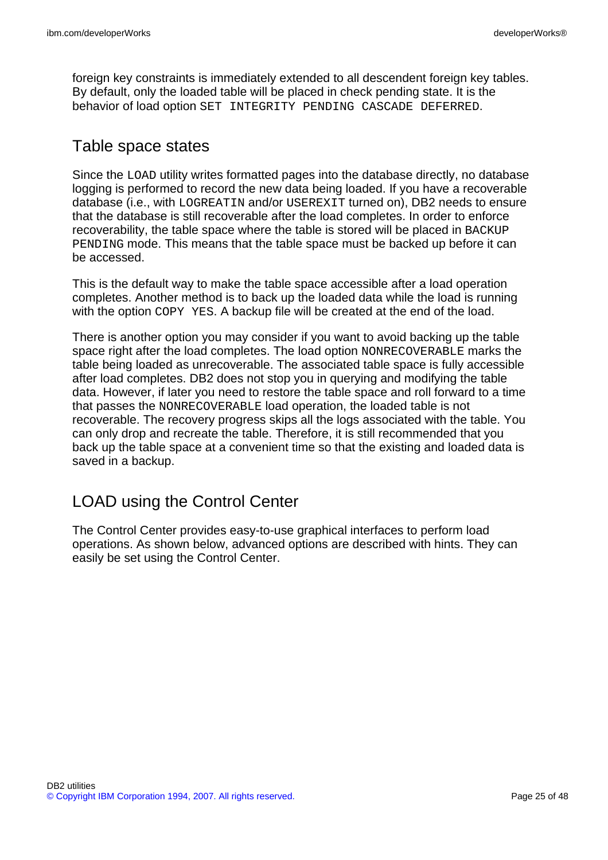foreign key constraints is immediately extended to all descendent foreign key tables. By default, only the loaded table will be placed in check pending state. It is the behavior of load option SET INTEGRITY PENDING CASCADE DEFERRED.

### Table space states

Since the LOAD utility writes formatted pages into the database directly, no database logging is performed to record the new data being loaded. If you have a recoverable database (i.e., with LOGREATIN and/or USEREXIT turned on), DB2 needs to ensure that the database is still recoverable after the load completes. In order to enforce recoverability, the table space where the table is stored will be placed in BACKUP PENDING mode. This means that the table space must be backed up before it can be accessed.

This is the default way to make the table space accessible after a load operation completes. Another method is to back up the loaded data while the load is running with the option COPY YES. A backup file will be created at the end of the load.

There is another option you may consider if you want to avoid backing up the table space right after the load completes. The load option NONRECOVERABLE marks the table being loaded as unrecoverable. The associated table space is fully accessible after load completes. DB2 does not stop you in querying and modifying the table data. However, if later you need to restore the table space and roll forward to a time that passes the NONRECOVERABLE load operation, the loaded table is not recoverable. The recovery progress skips all the logs associated with the table. You can only drop and recreate the table. Therefore, it is still recommended that you back up the table space at a convenient time so that the existing and loaded data is saved in a backup.

# LOAD using the Control Center

The Control Center provides easy-to-use graphical interfaces to perform load operations. As shown below, advanced options are described with hints. They can easily be set using the Control Center.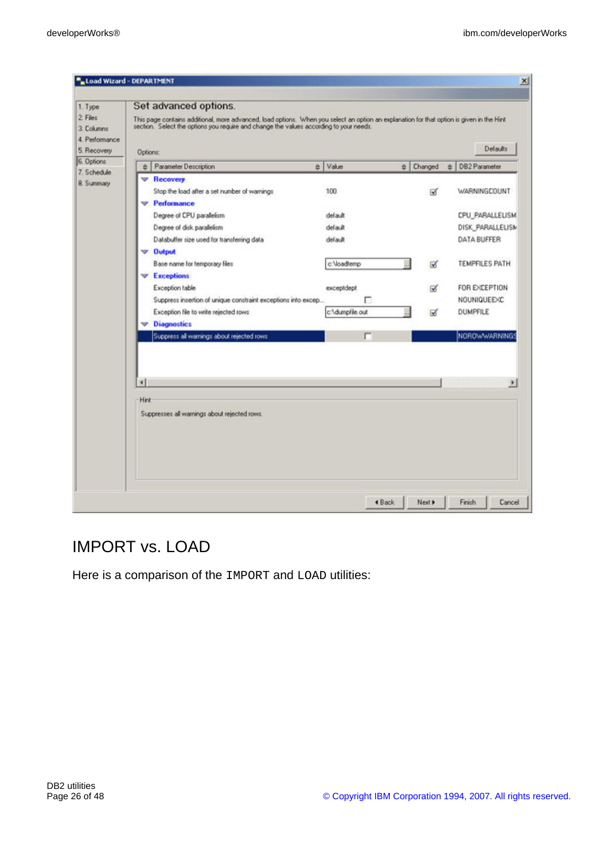|                | Set advanced options.                                                                                                                                                                                                               |                 |       |         |   |                       |
|----------------|-------------------------------------------------------------------------------------------------------------------------------------------------------------------------------------------------------------------------------------|-----------------|-------|---------|---|-----------------------|
|                | This page contains additional, more advanced, load options. When you select an option an explanation for that option is given in the Hint<br>section. Select the options you require and change the values according to your needs. |                 |       |         |   |                       |
| 4. Performance |                                                                                                                                                                                                                                     |                 |       |         |   |                       |
|                | Options:                                                                                                                                                                                                                            |                 |       |         |   | Detaults              |
| 会              | Parameter Description                                                                                                                                                                                                               | e Value         | $\pm$ | Changed | 盘 | DB2 Parameter         |
|                | $\triangledown$ Recovery                                                                                                                                                                                                            |                 |       |         |   |                       |
|                | Stop the load after a set number of warnings                                                                                                                                                                                        | 100             |       | ☞       |   | WARNINGCOUNT          |
|                | $\triangledown$ Performance                                                                                                                                                                                                         |                 |       |         |   |                       |
|                | Degree of CPU parallelism                                                                                                                                                                                                           | default         |       |         |   | CPU PARALLELISM       |
|                | Degree of disk parallelism                                                                                                                                                                                                          | default         |       |         |   | DISK PARALLELISM      |
|                | Databuller size used for transferring data                                                                                                                                                                                          | default         |       |         |   | DATA BUFFER           |
|                | $\nabla$ Output                                                                                                                                                                                                                     |                 |       |         |   |                       |
|                | Base name for temporary files                                                                                                                                                                                                       | c: Voadtemp     |       | ⊌       |   | <b>TEMPFILES PATH</b> |
|                | $\nabla$ Exceptions                                                                                                                                                                                                                 |                 |       |         |   |                       |
|                | Exception table                                                                                                                                                                                                                     | exceptdept      |       | ₩       |   | FOR EXCEPTION         |
|                | Suppress insertion of unique constraint exceptions into excep                                                                                                                                                                       | г               |       |         |   | NOUNIQUEEXC           |
|                | Exception file to write rejected rows                                                                                                                                                                                               | c:\dumpfile.out |       | ☞       |   | <b>DUMPFILE</b>       |
|                | <b>Diagnostics</b>                                                                                                                                                                                                                  |                 |       |         |   |                       |
|                | Suppress all warnings about rejected rows.                                                                                                                                                                                          |                 |       |         |   | NOROWWARNING!         |
|                |                                                                                                                                                                                                                                     |                 |       |         |   |                       |
|                |                                                                                                                                                                                                                                     |                 |       |         |   |                       |
|                |                                                                                                                                                                                                                                     |                 |       |         |   |                       |
| ٩I             |                                                                                                                                                                                                                                     |                 |       |         |   | ٠                     |
| Hint           |                                                                                                                                                                                                                                     |                 |       |         |   |                       |
|                |                                                                                                                                                                                                                                     |                 |       |         |   |                       |

# IMPORT vs. LOAD

Here is a comparison of the IMPORT and LOAD utilities: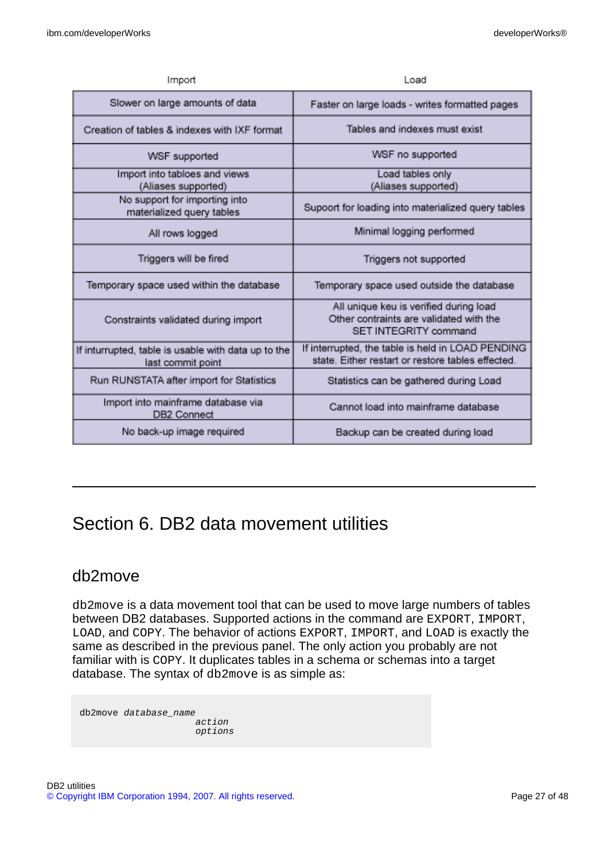| Import                                                                   | Load                                                                                                       |
|--------------------------------------------------------------------------|------------------------------------------------------------------------------------------------------------|
| Slower on large amounts of data                                          | Faster on large loads - writes formatted pages                                                             |
| Creation of tables & indexes with IXF format                             | Tables and indexes must exist                                                                              |
| WSF supported                                                            | WSF no supported                                                                                           |
| Import into tabloes and views<br>(Aliases supported)                     | Load tables only<br>(Aliases supported)                                                                    |
| No support for importing into<br>materialized query tables               | Supoort for loading into materialized query tables                                                         |
| All rows logged                                                          | Minimal logging performed                                                                                  |
| Triggers will be fired                                                   | Triggers not supported                                                                                     |
| Temporary space used within the database                                 | Temporary space used outside the database                                                                  |
| Constraints validated during import                                      | All unique keu is verified during load<br>Other contraints are validated with the<br>SET INTEGRITY command |
| If inturrupted, table is usable with data up to the<br>last commit point | If interrupted, the table is held in LOAD PENDING<br>state. Either restart or restore tables effected.     |
| Run RUNSTATA after import for Statistics                                 | Statistics can be gathered during Load                                                                     |
| Import into mainframe database via<br>DB2 Connect                        | Cannot load into mainframe database                                                                        |
| No back-up image required                                                | Backup can be created during load                                                                          |

# Section 6. DB2 data movement utilities

### db2move

db2move is a data movement tool that can be used to move large numbers of tables between DB2 databases. Supported actions in the command are EXPORT, IMPORT, LOAD, and COPY. The behavior of actions EXPORT, IMPORT, and LOAD is exactly the same as described in the previous panel. The only action you probably are not familiar with is COPY. It duplicates tables in a schema or schemas into a target database. The syntax of db2move is as simple as:

db2move database\_name action options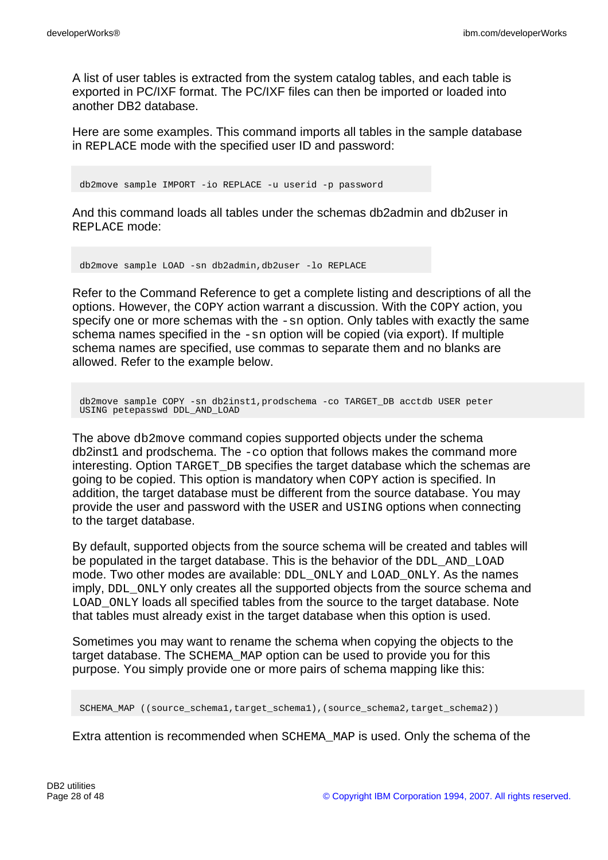A list of user tables is extracted from the system catalog tables, and each table is exported in PC/IXF format. The PC/IXF files can then be imported or loaded into another DB2 database.

Here are some examples. This command imports all tables in the sample database in REPLACE mode with the specified user ID and password:

db2move sample IMPORT -io REPLACE -u userid -p password

And this command loads all tables under the schemas db2admin and db2user in REPLACE mode:

db2move sample LOAD -sn db2admin,db2user -lo REPLACE

Refer to the Command Reference to get a complete listing and descriptions of all the options. However, the COPY action warrant a discussion. With the COPY action, you specify one or more schemas with the -sn option. Only tables with exactly the same schema names specified in the -sn option will be copied (via export). If multiple schema names are specified, use commas to separate them and no blanks are allowed. Refer to the example below.

db2move sample COPY -sn db2inst1,prodschema -co TARGET\_DB acctdb USER peter USING petepasswd DDL\_AND\_LOAD

The above db2move command copies supported objects under the schema db2inst1 and prodschema. The -co option that follows makes the command more interesting. Option TARGET DB specifies the target database which the schemas are going to be copied. This option is mandatory when COPY action is specified. In addition, the target database must be different from the source database. You may provide the user and password with the USER and USING options when connecting to the target database.

By default, supported objects from the source schema will be created and tables will be populated in the target database. This is the behavior of the DDL AND LOAD mode. Two other modes are available: DDL ONLY and LOAD ONLY. As the names imply, DDL\_ONLY only creates all the supported objects from the source schema and LOAD ONLY loads all specified tables from the source to the target database. Note that tables must already exist in the target database when this option is used.

Sometimes you may want to rename the schema when copying the objects to the target database. The SCHEMA MAP option can be used to provide you for this purpose. You simply provide one or more pairs of schema mapping like this:

SCHEMA\_MAP ((source\_schema1,target\_schema1),(source\_schema2,target\_schema2))

Extra attention is recommended when SCHEMA\_MAP is used. Only the schema of the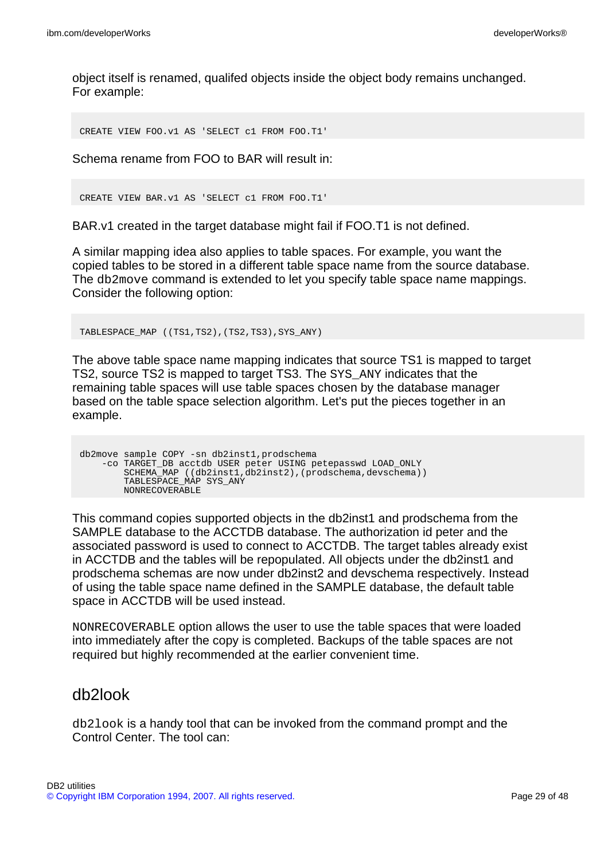object itself is renamed, qualifed objects inside the object body remains unchanged. For example:

CREATE VIEW FOO.v1 AS 'SELECT c1 FROM FOO.T1'

Schema rename from FOO to BAR will result in:

CREATE VIEW BAR.v1 AS 'SELECT c1 FROM FOO.T1'

BAR.v1 created in the target database might fail if FOO.T1 is not defined.

A similar mapping idea also applies to table spaces. For example, you want the copied tables to be stored in a different table space name from the source database. The db2move command is extended to let you specify table space name mappings. Consider the following option:

TABLESPACE\_MAP ((TS1,TS2),(TS2,TS3),SYS\_ANY)

The above table space name mapping indicates that source TS1 is mapped to target TS2, source TS2 is mapped to target TS3. The SYS\_ANY indicates that the remaining table spaces will use table spaces chosen by the database manager based on the table space selection algorithm. Let's put the pieces together in an example.

db2move sample COPY -sn db2inst1,prodschema -co TARGET\_DB acctdb USER peter USING petepasswd LOAD\_ONLY SCHEMA\_MAP ((db2inst1,db2inst2),(prodschema,devschema)) TABLESPACE\_MAP SYS\_ANY NONRECOVERABLE

This command copies supported objects in the db2inst1 and prodschema from the SAMPLE database to the ACCTDB database. The authorization id peter and the associated password is used to connect to ACCTDB. The target tables already exist in ACCTDB and the tables will be repopulated. All objects under the db2inst1 and prodschema schemas are now under db2inst2 and devschema respectively. Instead of using the table space name defined in the SAMPLE database, the default table space in ACCTDB will be used instead.

NONRECOVERABLE option allows the user to use the table spaces that were loaded into immediately after the copy is completed. Backups of the table spaces are not required but highly recommended at the earlier convenient time.

### db2look

db2look is a handy tool that can be invoked from the command prompt and the Control Center. The tool can: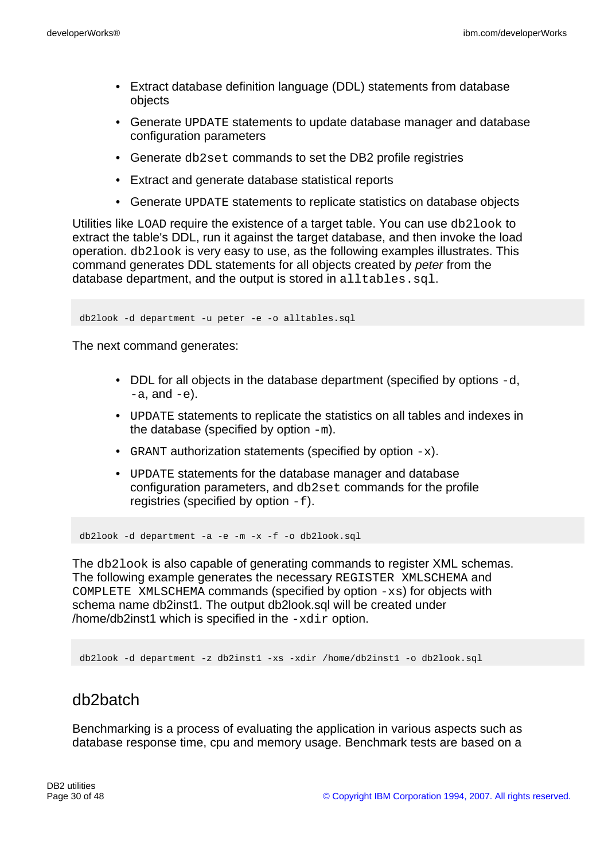- Extract database definition language (DDL) statements from database objects
- Generate UPDATE statements to update database manager and database configuration parameters
- Generate db2set commands to set the DB2 profile registries
- Extract and generate database statistical reports
- Generate UPDATE statements to replicate statistics on database objects

Utilities like LOAD require the existence of a target table. You can use db2look to extract the table's DDL, run it against the target database, and then invoke the load operation. db2look is very easy to use, as the following examples illustrates. This command generates DDL statements for all objects created by peter from the database department, and the output is stored in alltables.sql.

db2look -d department -u peter -e -o alltables.sql

The next command generates:

- DDL for all objects in the database department (specified by options  $-d$ ,  $-a$ , and  $-e$ ).
- UPDATE statements to replicate the statistics on all tables and indexes in the database (specified by option  $-m$ ).
- GRANT authorization statements (specified by option  $-x$ ).
- UPDATE statements for the database manager and database configuration parameters, and db2set commands for the profile registries (specified by option  $-f$ ).

db2look -d department -a -e -m -x -f -o db2look.sql

The db2look is also capable of generating commands to register XML schemas. The following example generates the necessary REGISTER XMLSCHEMA and COMPLETE XMLSCHEMA commands (specified by option  $-xs$ ) for objects with schema name db2inst1. The output db2look.sql will be created under /home/db2inst1 which is specified in the  $-xdir$  option.

db2look -d department -z db2inst1 -xs -xdir /home/db2inst1 -o db2look.sql

### db2batch

Benchmarking is a process of evaluating the application in various aspects such as database response time, cpu and memory usage. Benchmark tests are based on a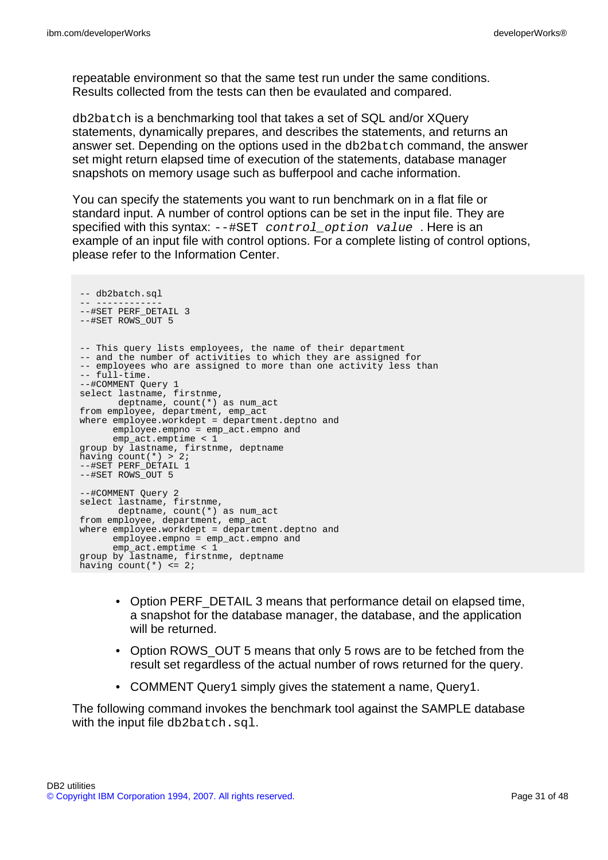repeatable environment so that the same test run under the same conditions. Results collected from the tests can then be evaulated and compared.

db2batch is a benchmarking tool that takes a set of SQL and/or XQuery statements, dynamically prepares, and describes the statements, and returns an answer set. Depending on the options used in the db2batch command, the answer set might return elapsed time of execution of the statements, database manager snapshots on memory usage such as bufferpool and cache information.

You can specify the statements you want to run benchmark on in a flat file or standard input. A number of control options can be set in the input file. They are specified with this syntax:  $-\frac{1}{2}$  =  $\frac{1}{2}$  control option value. Here is an example of an input file with control options. For a complete listing of control options, please refer to the Information Center.

```
-- db2batch.sql
-- ------------
--#SET PERF_DETAIL 3
--#SET ROWS_OUT 5
-- This query lists employees, the name of their department
-- and the number of activities to which they are assigned for
-- employees who are assigned to more than one activity less than
-- full-time.
--#COMMENT Query 1
select lastname, firstnme,
      deptname, count(*) as num_act
from employee, department, emp_act
where employee.workdept = department.deptno and
      employee.empno = emp_act.empno and
      emp_act.emptime < 1
group by lastname, firstnme, deptname
having count(*) > 2;
--#SET PERF_DETAIL 1
--#SET ROWS_OUT 5
--#COMMENT Query 2
select lastname, firstnme,
       deptname, count(*) as num_act
from employee, department, emp_act
where employee.workdept = department.deptno and
     employee.empno = emp_act.empno and
      emp_act.emptime < 1
group by lastname, firstnme, deptname
having count(*) \leq 2;
```
- Option PERF DETAIL 3 means that performance detail on elapsed time, a snapshot for the database manager, the database, and the application will be returned.
- Option ROWS OUT 5 means that only 5 rows are to be fetched from the result set regardless of the actual number of rows returned for the query.
- COMMENT Query1 simply gives the statement a name, Query1.

The following command invokes the benchmark tool against the SAMPLE database with the input file db2batch.sql.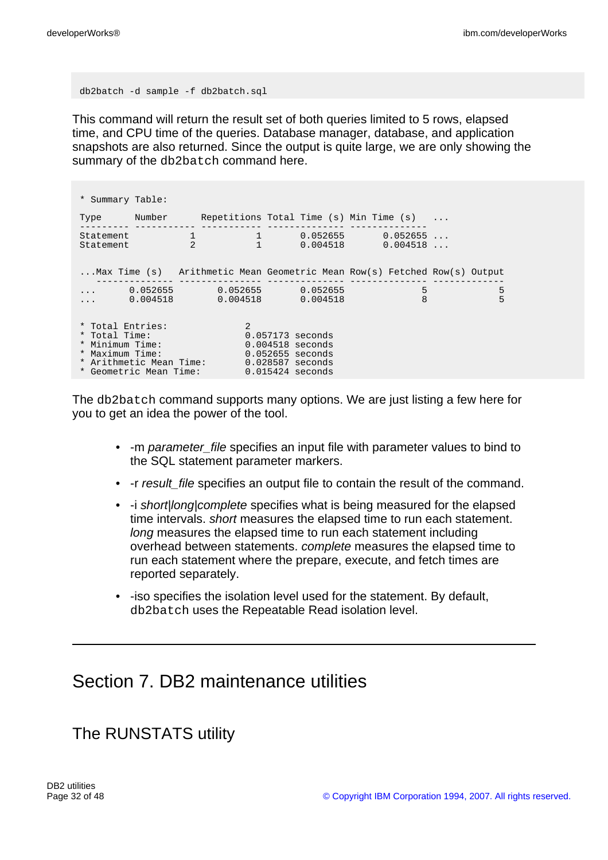```
db2batch -d sample -f db2batch.sql
```
This command will return the result set of both queries limited to 5 rows, elapsed time, and CPU time of the queries. Database manager, database, and application snapshots are also returned. Since the output is quite large, we are only showing the summary of the db2batch command here.

| * Summary Table:                                                                                                                              |                  |                                                                                |                                                                                                                       |        |
|-----------------------------------------------------------------------------------------------------------------------------------------------|------------------|--------------------------------------------------------------------------------|-----------------------------------------------------------------------------------------------------------------------|--------|
| Type Number Repetitions Total Time (s) Min Time (s)                                                                                           |                  |                                                                                |                                                                                                                       |        |
| Statement<br>Statement                                                                                                                        |                  |                                                                                | $\begin{array}{cccccccccccc} 1 & 1 & 0.052655 & 0.052655 & \ldots \ 2 & 1 & 0.004518 & 0.004518 & \ldots \end{array}$ |        |
| Max Time (s) Arithmetic Mean Geometric Mean Row(s) Fetched Row(s) Output                                                                      |                  |                                                                                |                                                                                                                       |        |
| $\ldots$ 0.052655 0.052655 0.052655<br>$\ldots$ 0.004518 0.004518 0.004518                                                                    |                  |                                                                                | 5<br>$\mathsf{R}$                                                                                                     | 5<br>5 |
| * Total Entries:<br>* Total Time:<br>* Minimum Time:<br>* Maximum Time:<br>* Arithmetic Mean Time: 0.028587 seconds<br>* Geometric Mean Time: | 0.052655 seconds | $\mathfrak{D}$<br>0.057173 seconds<br>$0.004518$ seconds<br>$0.015424$ seconds |                                                                                                                       |        |

The db2batch command supports many options. We are just listing a few here for you to get an idea the power of the tool.

- -m parameter\_file specifies an input file with parameter values to bind to the SQL statement parameter markers.
- -r result\_file specifies an output file to contain the result of the command.
- - i short|long|complete specifies what is being measured for the elapsed time intervals. short measures the elapsed time to run each statement. long measures the elapsed time to run each statement including overhead between statements. complete measures the elapsed time to run each statement where the prepare, execute, and fetch times are reported separately.
- -iso specifies the isolation level used for the statement. By default, db2batch uses the Repeatable Read isolation level.

# Section 7. DB2 maintenance utilities

## The RUNSTATS utility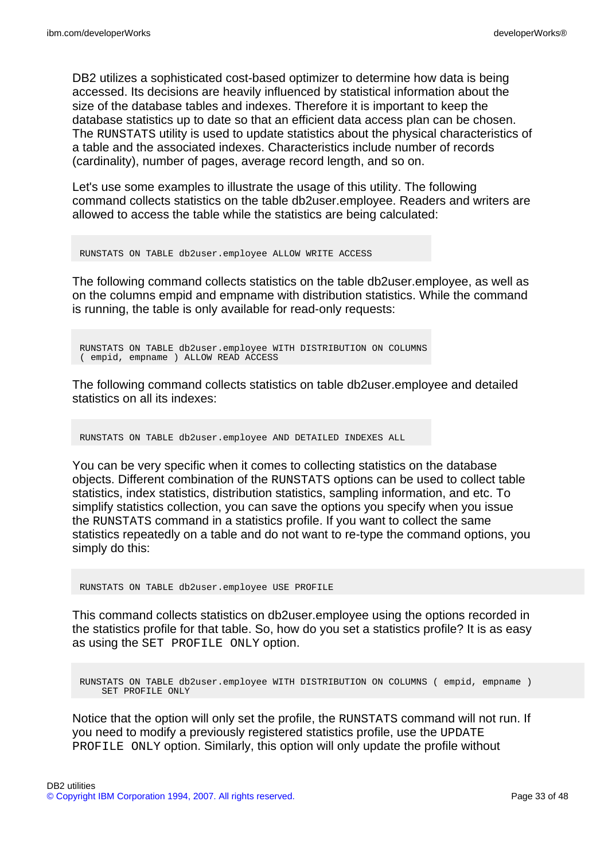DB2 utilizes a sophisticated cost-based optimizer to determine how data is being accessed. Its decisions are heavily influenced by statistical information about the size of the database tables and indexes. Therefore it is important to keep the database statistics up to date so that an efficient data access plan can be chosen. The RUNSTATS utility is used to update statistics about the physical characteristics of a table and the associated indexes. Characteristics include number of records (cardinality), number of pages, average record length, and so on.

Let's use some examples to illustrate the usage of this utility. The following command collects statistics on the table db2user.employee. Readers and writers are allowed to access the table while the statistics are being calculated:

RUNSTATS ON TABLE db2user.employee ALLOW WRITE ACCESS

The following command collects statistics on the table db2user.employee, as well as on the columns empid and empname with distribution statistics. While the command is running, the table is only available for read-only requests:

RUNSTATS ON TABLE db2user.employee WITH DISTRIBUTION ON COLUMNS ( empid, empname ) ALLOW READ ACCESS

The following command collects statistics on table db2user.employee and detailed statistics on all its indexes:

RUNSTATS ON TABLE db2user.employee AND DETAILED INDEXES ALL

You can be very specific when it comes to collecting statistics on the database objects. Different combination of the RUNSTATS options can be used to collect table statistics, index statistics, distribution statistics, sampling information, and etc. To simplify statistics collection, you can save the options you specify when you issue the RUNSTATS command in a statistics profile. If you want to collect the same statistics repeatedly on a table and do not want to re-type the command options, you simply do this:

RUNSTATS ON TABLE db2user.employee USE PROFILE

This command collects statistics on db2user.employee using the options recorded in the statistics profile for that table. So, how do you set a statistics profile? It is as easy as using the SET PROFILE ONLY option.

RUNSTATS ON TABLE db2user.employee WITH DISTRIBUTION ON COLUMNS ( empid, empname ) SET PROFILE ONLY

Notice that the option will only set the profile, the RUNSTATS command will not run. If you need to modify a previously registered statistics profile, use the UPDATE PROFILE ONLY option. Similarly, this option will only update the profile without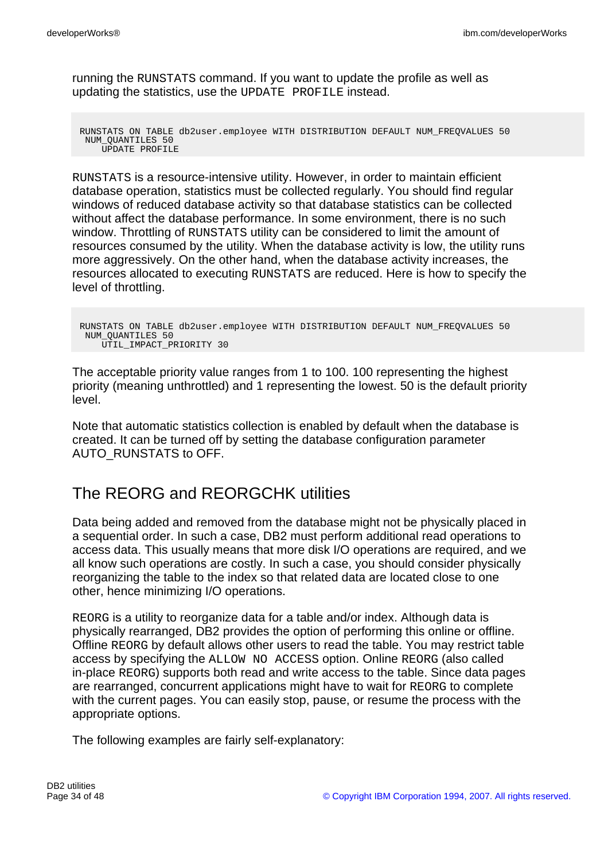running the RUNSTATS command. If you want to update the profile as well as updating the statistics, use the UPDATE PROFILE instead.

```
RUNSTATS ON TABLE db2user.employee WITH DISTRIBUTION DEFAULT NUM_FREQVALUES 50
NUM_QUANTILES 50
    UPDATE PROFILE
```
RUNSTATS is a resource-intensive utility. However, in order to maintain efficient database operation, statistics must be collected regularly. You should find regular windows of reduced database activity so that database statistics can be collected without affect the database performance. In some environment, there is no such window. Throttling of RUNSTATS utility can be considered to limit the amount of resources consumed by the utility. When the database activity is low, the utility runs more aggressively. On the other hand, when the database activity increases, the resources allocated to executing RUNSTATS are reduced. Here is how to specify the level of throttling.

RUNSTATS ON TABLE db2user.employee WITH DISTRIBUTION DEFAULT NUM\_FREQVALUES 50 NUM\_QUANTILES 50 UTIL\_IMPACT\_PRIORITY 30

The acceptable priority value ranges from 1 to 100. 100 representing the highest priority (meaning unthrottled) and 1 representing the lowest. 50 is the default priority level.

Note that automatic statistics collection is enabled by default when the database is created. It can be turned off by setting the database configuration parameter AUTO\_RUNSTATS to OFF.

## The REORG and REORGCHK utilities

Data being added and removed from the database might not be physically placed in a sequential order. In such a case, DB2 must perform additional read operations to access data. This usually means that more disk I/O operations are required, and we all know such operations are costly. In such a case, you should consider physically reorganizing the table to the index so that related data are located close to one other, hence minimizing I/O operations.

REORG is a utility to reorganize data for a table and/or index. Although data is physically rearranged, DB2 provides the option of performing this online or offline. Offline REORG by default allows other users to read the table. You may restrict table access by specifying the ALLOW NO ACCESS option. Online REORG (also called in-place REORG) supports both read and write access to the table. Since data pages are rearranged, concurrent applications might have to wait for REORG to complete with the current pages. You can easily stop, pause, or resume the process with the appropriate options.

The following examples are fairly self-explanatory: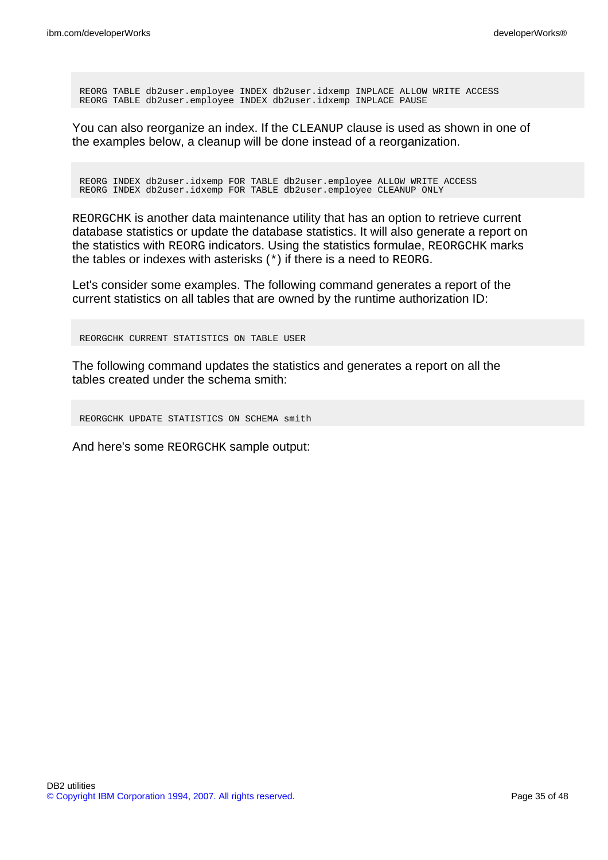REORG TABLE db2user.employee INDEX db2user.idxemp INPLACE ALLOW WRITE ACCESS REORG TABLE db2user.employee INDEX db2user.idxemp INPLACE PAUSE

You can also reorganize an index. If the CLEANUP clause is used as shown in one of the examples below, a cleanup will be done instead of a reorganization.

REORG INDEX db2user.idxemp FOR TABLE db2user.employee ALLOW WRITE ACCESS REORG INDEX db2user.idxemp FOR TABLE db2user.employee CLEANUP ONLY

REORGCHK is another data maintenance utility that has an option to retrieve current database statistics or update the database statistics. It will also generate a report on the statistics with REORG indicators. Using the statistics formulae, REORGCHK marks the tables or indexes with asterisks (\*) if there is a need to REORG.

Let's consider some examples. The following command generates a report of the current statistics on all tables that are owned by the runtime authorization ID:

REORGCHK CURRENT STATISTICS ON TABLE USER

The following command updates the statistics and generates a report on all the tables created under the schema smith:

REORGCHK UPDATE STATISTICS ON SCHEMA smith

And here's some REORGCHK sample output: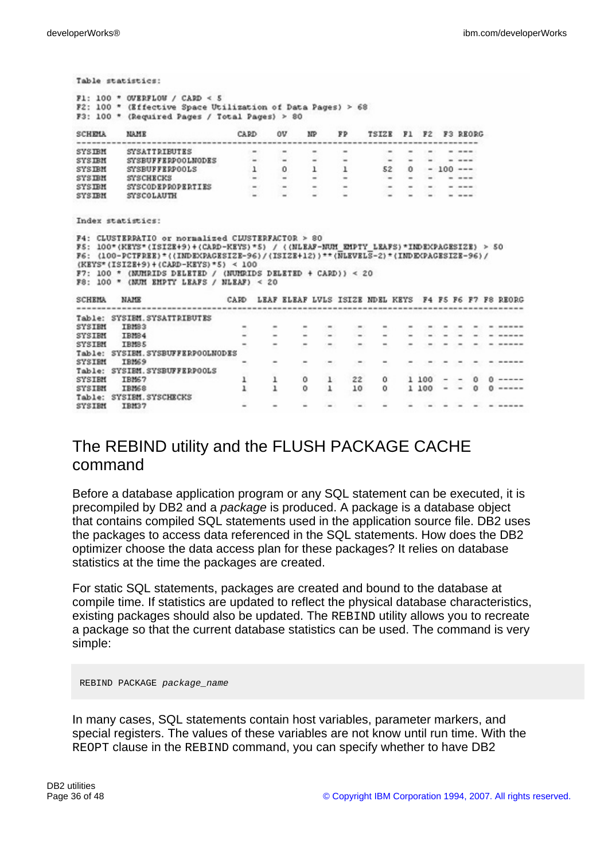| F1: 100 * OVERFLOW / CARD < $S$<br>F3: 100 * (Required Pages / Total Pages) > 80<br>SCHEMA<br><b>NAME</b><br>CARD.<br>0V<br><b>TSIZE</b><br>NP<br>FP<br>F1 F2<br>F3 REORG<br>------------<br><b>SYSATTRIBUTES</b><br>$52 \t 0 \t - 100 \t ---$<br><b>SYSBUFFERPOOLS</b><br>$ -$                                                                                                                                                                                                                             |  |
|-------------------------------------------------------------------------------------------------------------------------------------------------------------------------------------------------------------------------------------------------------------------------------------------------------------------------------------------------------------------------------------------------------------------------------------------------------------------------------------------------------------|--|
| F2: 100 * (Effective Space Utilization of Data Pages) > 68<br><b>SYSTEM</b><br>SYSIBM SYSBUFFERPOOLNODES<br>SYSIBM<br>SYSIBM SYSCHECKS                                                                                                                                                                                                                                                                                                                                                                      |  |
|                                                                                                                                                                                                                                                                                                                                                                                                                                                                                                             |  |
|                                                                                                                                                                                                                                                                                                                                                                                                                                                                                                             |  |
|                                                                                                                                                                                                                                                                                                                                                                                                                                                                                                             |  |
|                                                                                                                                                                                                                                                                                                                                                                                                                                                                                                             |  |
|                                                                                                                                                                                                                                                                                                                                                                                                                                                                                                             |  |
|                                                                                                                                                                                                                                                                                                                                                                                                                                                                                                             |  |
|                                                                                                                                                                                                                                                                                                                                                                                                                                                                                                             |  |
| State of<br>SYSIBM SYSCODEPROPERTIES                                                                                                                                                                                                                                                                                                                                                                                                                                                                        |  |
| SYSIBM SYSCOLAUTH                                                                                                                                                                                                                                                                                                                                                                                                                                                                                           |  |
| Index statistics:<br>F4: CLUSTERRATIO or normalized CLUSTERFACTOR > 80<br>F5: 100*(KEYS*(ISIZE+9)+(CARD-KEYS)*5) / ((NLEAF-NUM EMPTY LEAFS)*INDEXPAGESIZE) > 50<br>F6: (100-PCTFREE)*((INDEXPAGESIZE-96)/(ISIZE+12))**(NLEVELS-2)*(INDEXPAGESIZE-96)/<br>$(KRYS*(ISIZE+9) + (CADD-KRYS)*5) < 100$<br>F7: 100 * (MUMERIDS DELETED / (NUMBRIDS DELETED + CAPD)) < 20<br>F8: 100 * (NUM EMPTY LEAFS / NLEAF) < 20<br>CARD LEAF ELEAF LVLS ISIZE NDEL KEYS F4 F5 F6 F7 F8 REORG<br><b>SCHEMA</b><br><b>NAME</b> |  |
|                                                                                                                                                                                                                                                                                                                                                                                                                                                                                                             |  |
| Table: SYSIEM. SYSATTRIBUTES                                                                                                                                                                                                                                                                                                                                                                                                                                                                                |  |
| <b>SYSIEM</b><br>IBM83                                                                                                                                                                                                                                                                                                                                                                                                                                                                                      |  |
| $\sim$<br>SYSIEM<br><b>IBM84</b>                                                                                                                                                                                                                                                                                                                                                                                                                                                                            |  |
| $\sim$<br><b>SYSIBM</b><br>$\overline{\phantom{a}}$<br><b>TBMSS</b>                                                                                                                                                                                                                                                                                                                                                                                                                                         |  |
| Table: SYSIEM. SYSBUFFERPOOLNODES                                                                                                                                                                                                                                                                                                                                                                                                                                                                           |  |
| SYSIBM<br><b>TBM69</b><br>$\overline{\phantom{a}}$<br>۰<br>$\sim$                                                                                                                                                                                                                                                                                                                                                                                                                                           |  |
| Table: SYSIEM. SYSBUFFERPOOLS                                                                                                                                                                                                                                                                                                                                                                                                                                                                               |  |
| $1100 - - 0$<br>r<br>$\mathbf{1}$<br>22<br>$^{\circ}$<br>SYSIEM<br><b>IBM67</b><br>٥<br>$\mathbf{1}$                                                                                                                                                                                                                                                                                                                                                                                                        |  |
| $\mathbf{r}$<br>$\mathbf{1}$<br>o<br>$\mathbf{1}$<br>$- - 0$<br>10 <sup>°</sup><br>$\Omega$<br>1 100<br><b>SYSIEM</b><br>IBM68                                                                                                                                                                                                                                                                                                                                                                              |  |
| Table: SYSIEM. SYSCHECKS                                                                                                                                                                                                                                                                                                                                                                                                                                                                                    |  |
| <b>SYSIEM</b><br>IBM37                                                                                                                                                                                                                                                                                                                                                                                                                                                                                      |  |

## The REBIND utility and the FLUSH PACKAGE CACHE command

Before a database application program or any SQL statement can be executed, it is precompiled by DB2 and a package is produced. A package is a database object that contains compiled SQL statements used in the application source file. DB2 uses the packages to access data referenced in the SQL statements. How does the DB2 optimizer choose the data access plan for these packages? It relies on database statistics at the time the packages are created.

For static SQL statements, packages are created and bound to the database at compile time. If statistics are updated to reflect the physical database characteristics, existing packages should also be updated. The REBIND utility allows you to recreate a package so that the current database statistics can be used. The command is very simple:

REBIND PACKAGE package\_name

In many cases, SQL statements contain host variables, parameter markers, and special registers. The values of these variables are not know until run time. With the REOPT clause in the REBIND command, you can specify whether to have DB2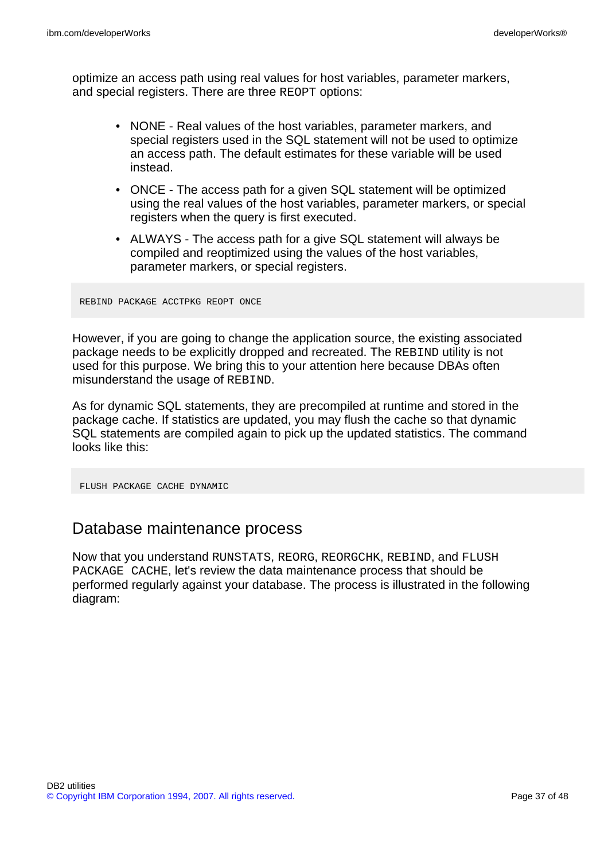optimize an access path using real values for host variables, parameter markers, and special registers. There are three REOPT options:

- NONE Real values of the host variables, parameter markers, and special registers used in the SQL statement will not be used to optimize an access path. The default estimates for these variable will be used instead.
- ONCE The access path for a given SQL statement will be optimized using the real values of the host variables, parameter markers, or special registers when the query is first executed.
- ALWAYS The access path for a give SQL statement will always be compiled and reoptimized using the values of the host variables, parameter markers, or special registers.

REBIND PACKAGE ACCTPKG REOPT ONCE

However, if you are going to change the application source, the existing associated package needs to be explicitly dropped and recreated. The REBIND utility is not used for this purpose. We bring this to your attention here because DBAs often misunderstand the usage of REBIND.

As for dynamic SQL statements, they are precompiled at runtime and stored in the package cache. If statistics are updated, you may flush the cache so that dynamic SQL statements are compiled again to pick up the updated statistics. The command looks like this:

FLUSH PACKAGE CACHE DYNAMIC

### Database maintenance process

Now that you understand RUNSTATS, REORG, REORGCHK, REBIND, and FLUSH PACKAGE CACHE, let's review the data maintenance process that should be performed regularly against your database. The process is illustrated in the following diagram: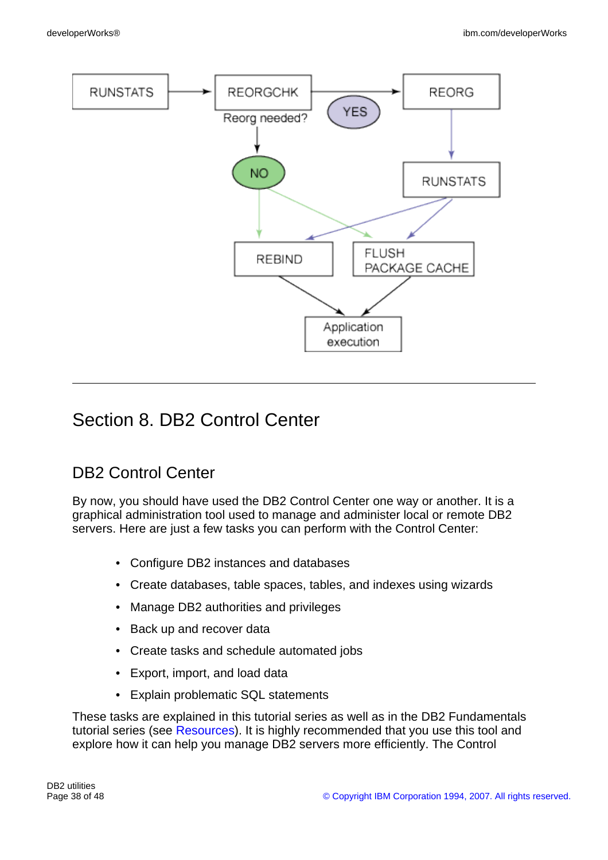

# Section 8. DB2 Control Center

# DB2 Control Center

By now, you should have used the DB2 Control Center one way or another. It is a graphical administration tool used to manage and administer local or remote DB2 servers. Here are just a few tasks you can perform with the Control Center:

- Configure DB2 instances and databases
- Create databases, table spaces, tables, and indexes using wizards
- Manage DB2 authorities and privileges
- Back up and recover data
- Create tasks and schedule automated jobs
- Export, import, and load data
- Explain problematic SQL statements

These tasks are explained in this tutorial series as well as in the DB2 Fundamentals tutorial series (see [Resources\)](#page-46-0). It is highly recommended that you use this tool and explore how it can help you manage DB2 servers more efficiently. The Control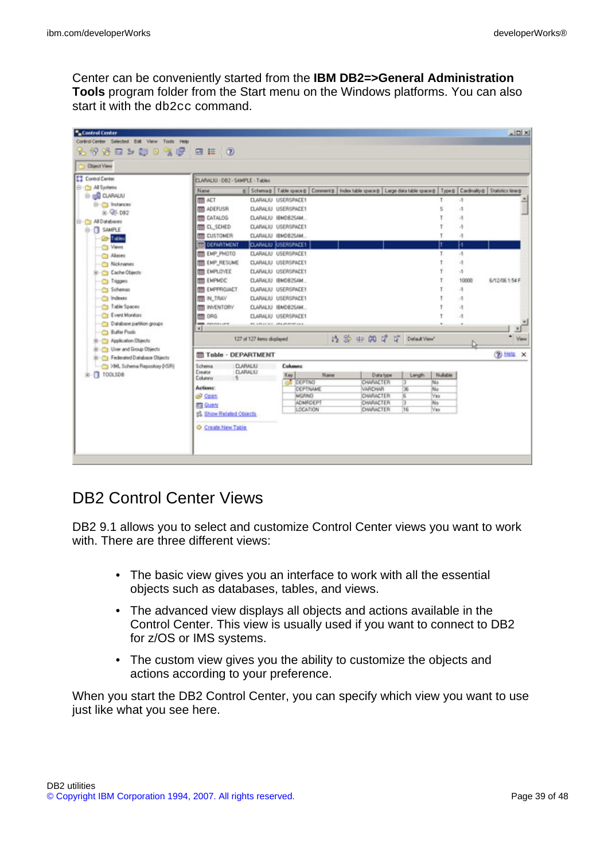Center can be conveniently started from the **IBM DB2=>General Administration Tools** program folder from the Start menu on the Windows platforms. You can also start it with the db2cc command.



## DB2 Control Center Views

DB2 9.1 allows you to select and customize Control Center views you want to work with. There are three different views:

- The basic view gives you an interface to work with all the essential objects such as databases, tables, and views.
- The advanced view displays all objects and actions available in the Control Center. This view is usually used if you want to connect to DB2 for z/OS or IMS systems.
- The custom view gives you the ability to customize the objects and actions according to your preference.

When you start the DB2 Control Center, you can specify which view you want to use just like what you see here.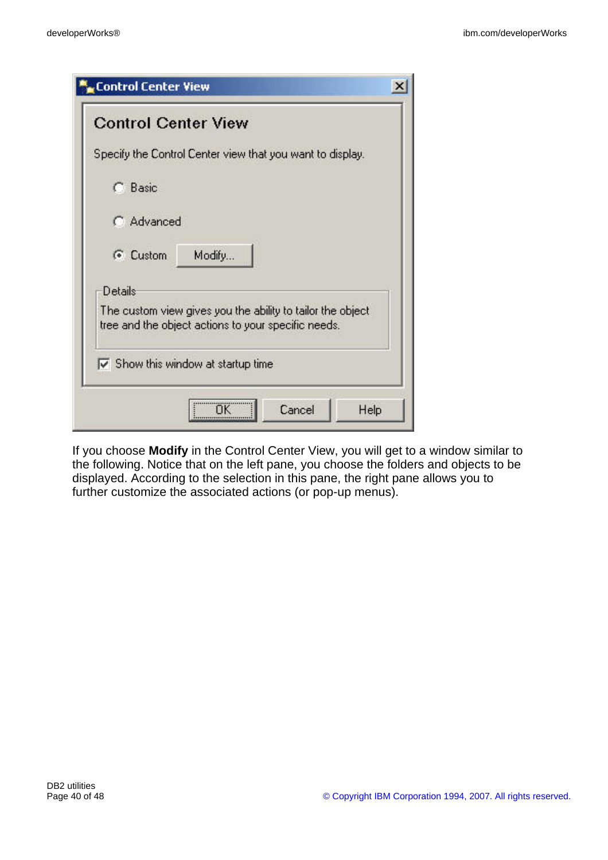|            | <b>Control Center View</b>                                                                                        |  |
|------------|-------------------------------------------------------------------------------------------------------------------|--|
|            | Specify the Control Center view that you want to display.                                                         |  |
| C Basic    |                                                                                                                   |  |
| C Advanced |                                                                                                                   |  |
| C Custom   | Modify                                                                                                            |  |
| Details    |                                                                                                                   |  |
|            | The custom view gives you the ability to tailor the object<br>tree and the object actions to your specific needs. |  |
|            | $\nabla$ Show this window at startup time                                                                         |  |

If you choose **Modify** in the Control Center View, you will get to a window similar to the following. Notice that on the left pane, you choose the folders and objects to be displayed. According to the selection in this pane, the right pane allows you to further customize the associated actions (or pop-up menus).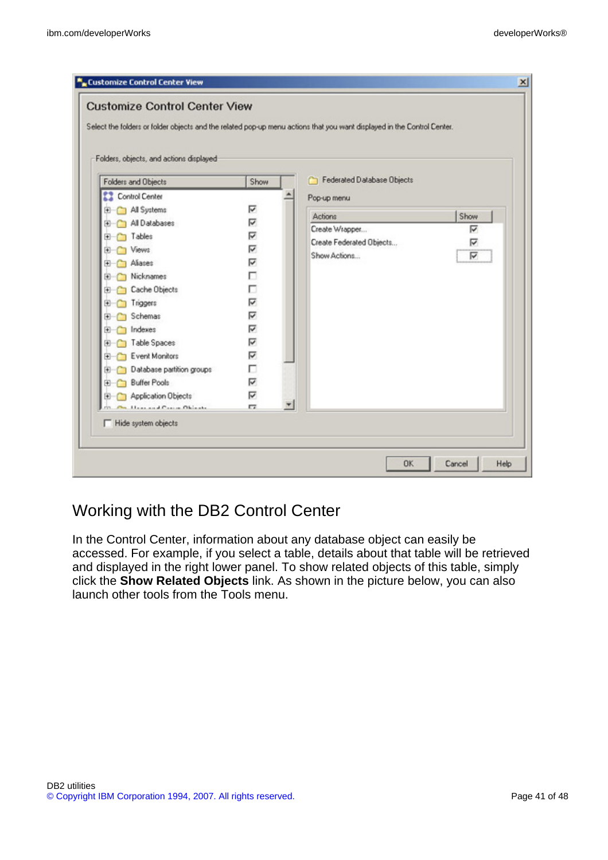| Folders, objects, and actions displayed |                         | Select the folders or folder objects and the related pop-up menu actions that you want displayed in the Control Center. |      |
|-----------------------------------------|-------------------------|-------------------------------------------------------------------------------------------------------------------------|------|
| Folders and Objects                     | Show                    | Federated Database Objects<br>n                                                                                         |      |
| <b>Control Center</b>                   |                         | Pop-up menu                                                                                                             |      |
| El All Systems                          | ⊽                       |                                                                                                                         |      |
| El All Databases                        | ⊽                       | Actions                                                                                                                 | Show |
| Tables<br>$+$                           | ⊽                       | Create Wrapper                                                                                                          | ⊽    |
| Views<br>⊞                              | ⊽                       | Create Federated Objects                                                                                                | ⊽    |
| Aliases<br>Œŀ                           | ⊽                       | Show Actions                                                                                                            | ⊽    |
| Nicknames<br>œ.                         | п                       |                                                                                                                         |      |
| Cache Objects<br>œ-                     | п                       |                                                                                                                         |      |
| Triggers<br>⊞                           | $\overline{\mathbf{v}}$ |                                                                                                                         |      |
| Schemas<br>Œŀ                           | ঢ়                      |                                                                                                                         |      |
| Indexes<br>œ.                           | ⊽                       |                                                                                                                         |      |
| Table Spaces<br>œ                       | ⊽                       |                                                                                                                         |      |
| <b>Event Monitors</b><br>œ              | ⊽                       |                                                                                                                         |      |
| Database partition groups<br>田          | п                       |                                                                                                                         |      |
| <b>Buffer Pools</b><br>F)               | ⊽                       |                                                                                                                         |      |
| <b>Application Objects</b><br>田         | ⊽                       |                                                                                                                         |      |
| On Here and Course Objects.             | 57                      |                                                                                                                         |      |
| Hide system objects                     |                         |                                                                                                                         |      |

## Working with the DB2 Control Center

In the Control Center, information about any database object can easily be accessed. For example, if you select a table, details about that table will be retrieved and displayed in the right lower panel. To show related objects of this table, simply click the **Show Related Objects** link. As shown in the picture below, you can also launch other tools from the Tools menu.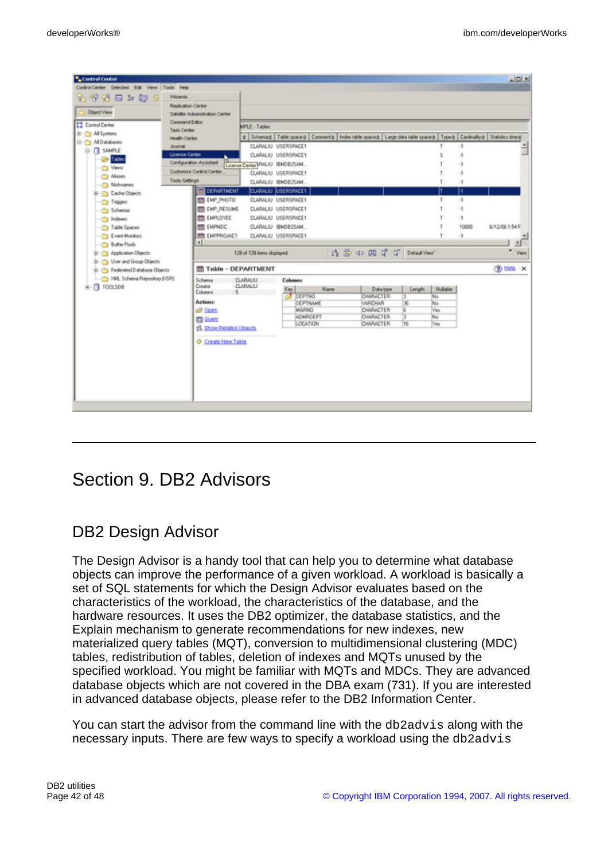

# Section 9. DB2 Advisors

## DB2 Design Advisor

The Design Advisor is a handy tool that can help you to determine what database objects can improve the performance of a given workload. A workload is basically a set of SQL statements for which the Design Advisor evaluates based on the characteristics of the workload, the characteristics of the database, and the hardware resources. It uses the DB2 optimizer, the database statistics, and the Explain mechanism to generate recommendations for new indexes, new materialized query tables (MQT), conversion to multidimensional clustering (MDC) tables, redistribution of tables, deletion of indexes and MQTs unused by the specified workload. You might be familiar with MQTs and MDCs. They are advanced database objects which are not covered in the DBA exam (731). If you are interested in advanced database objects, please refer to the DB2 Information Center.

You can start the advisor from the command line with the db2advis along with the necessary inputs. There are few ways to specify a workload using the db2advis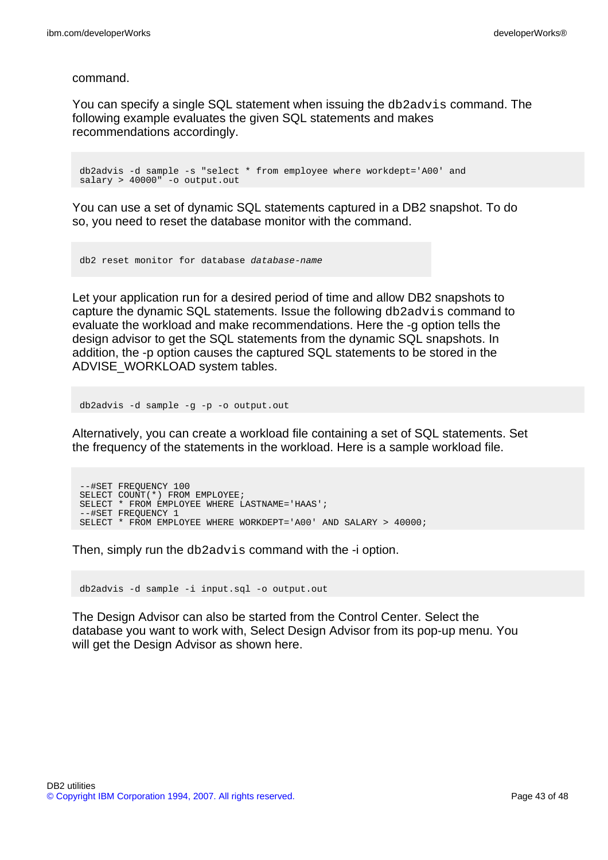command.

You can specify a single SQL statement when issuing the db2advis command. The following example evaluates the given SQL statements and makes recommendations accordingly.

```
db2advis -d sample -s "select * from employee where workdept='A00' and
salary > 40000" -o output.out
```
You can use a set of dynamic SQL statements captured in a DB2 snapshot. To do so, you need to reset the database monitor with the command.

```
db2 reset monitor for database database-name
```
Let your application run for a desired period of time and allow DB2 snapshots to capture the dynamic SQL statements. Issue the following db2advis command to evaluate the workload and make recommendations. Here the -g option tells the design advisor to get the SQL statements from the dynamic SQL snapshots. In addition, the -p option causes the captured SQL statements to be stored in the ADVISE\_WORKLOAD system tables.

```
db2advis -d sample -g -p -o output.out
```
Alternatively, you can create a workload file containing a set of SQL statements. Set the frequency of the statements in the workload. Here is a sample workload file.

--#SET FREQUENCY 100 SELECT COUNT(\*) FROM EMPLOYEE; SELECT \* FROM EMPLOYEE WHERE LASTNAME='HAAS'; --#SET FREQUENCY 1 SELECT \* FROM EMPLOYEE WHERE WORKDEPT='A00' AND SALARY > 40000;

Then, simply run the db2advis command with the -i option.

db2advis -d sample -i input.sql -o output.out

The Design Advisor can also be started from the Control Center. Select the database you want to work with, Select Design Advisor from its pop-up menu. You will get the Design Advisor as shown here.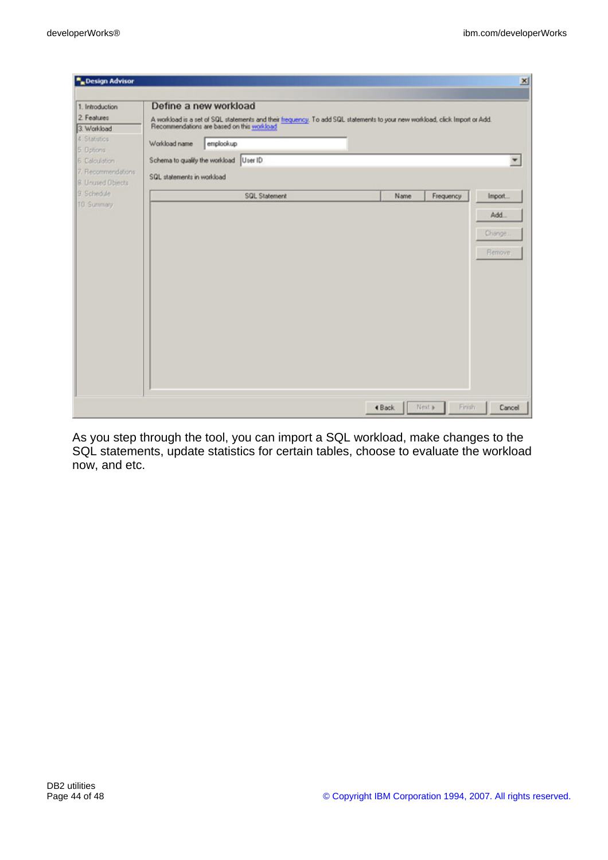| 1. Introduction                          | Define a new workload      |                                                                                                                                                                           |      |           |               |
|------------------------------------------|----------------------------|---------------------------------------------------------------------------------------------------------------------------------------------------------------------------|------|-----------|---------------|
| 2. Features                              |                            | A workload is a set of SQL statements and their frequency. To add SQL statements to your new workload, click Import or Add.<br>Recommendations are based on this workload |      |           |               |
| 3. Workload<br>4. Statistics             |                            |                                                                                                                                                                           |      |           |               |
| 5. Options                               | Workload name              | emplookup                                                                                                                                                                 |      |           |               |
| 6. Calculation                           |                            | Schema to qualify the workload User ID                                                                                                                                    |      |           |               |
| 7. Becommendations:<br>8. Unused Objects | SQL statements in workload |                                                                                                                                                                           |      |           |               |
| 9. Schedule                              |                            | SQL Statement                                                                                                                                                             | Name | Frequency | Import        |
| 10. Summary                              |                            |                                                                                                                                                                           |      |           | Add.          |
|                                          |                            |                                                                                                                                                                           |      |           | Chenge.       |
|                                          |                            |                                                                                                                                                                           |      |           | <b>Remove</b> |
|                                          |                            |                                                                                                                                                                           |      |           |               |
|                                          |                            |                                                                                                                                                                           |      |           |               |
|                                          |                            |                                                                                                                                                                           |      |           |               |
|                                          |                            |                                                                                                                                                                           |      |           |               |
|                                          |                            |                                                                                                                                                                           |      |           |               |
|                                          |                            |                                                                                                                                                                           |      |           |               |
|                                          |                            |                                                                                                                                                                           |      |           |               |
|                                          |                            |                                                                                                                                                                           |      |           |               |
|                                          |                            |                                                                                                                                                                           |      |           |               |

As you step through the tool, you can import a SQL workload, make changes to the SQL statements, update statistics for certain tables, choose to evaluate the workload now, and etc.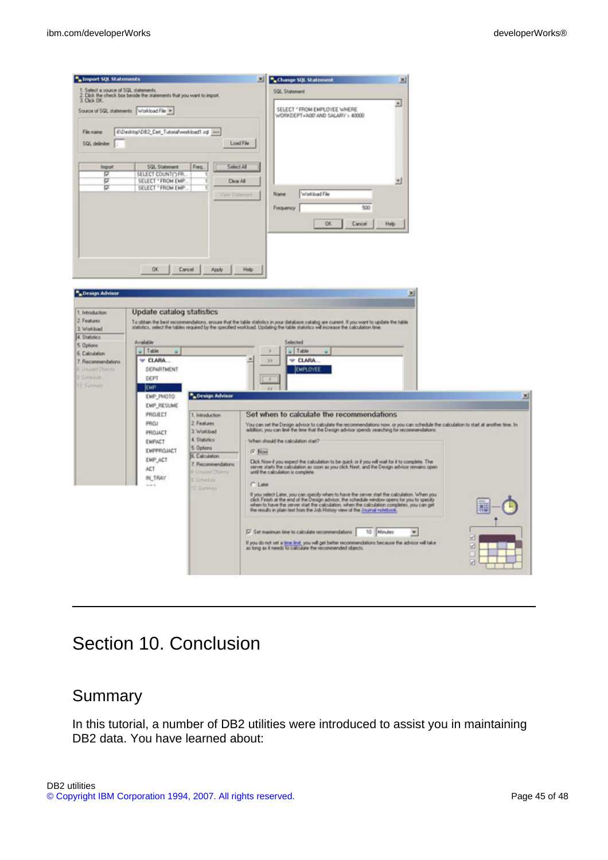

# Section 10. Conclusion

### Summary

In this tutorial, a number of DB2 utilities were introduced to assist you in maintaining DB2 data. You have learned about: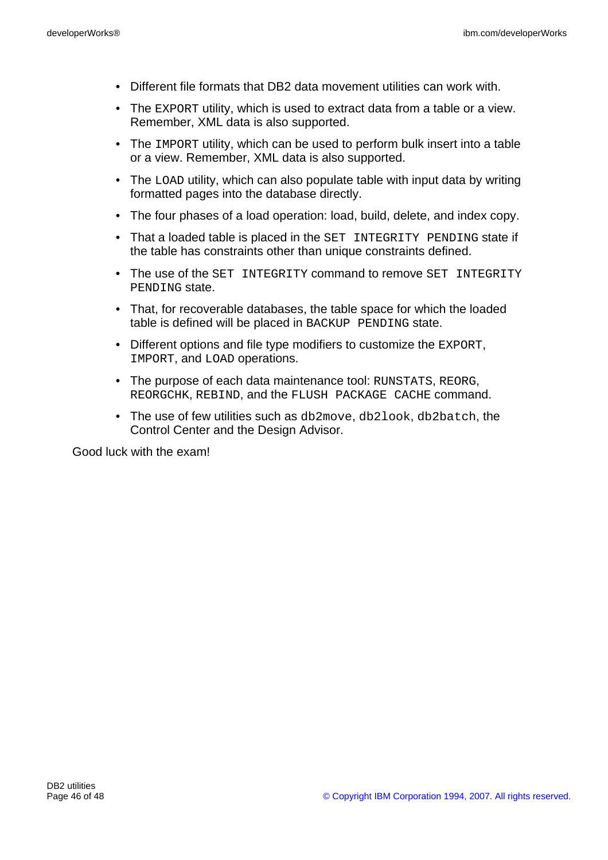- Different file formats that DB2 data movement utilities can work with.
- The EXPORT utility, which is used to extract data from a table or a view. Remember, XML data is also supported.
- The IMPORT utility, which can be used to perform bulk insert into a table or a view. Remember, XML data is also supported.
- The LOAD utility, which can also populate table with input data by writing formatted pages into the database directly.
- The four phases of a load operation: load, build, delete, and index copy.
- That a loaded table is placed in the SET INTEGRITY PENDING state if the table has constraints other than unique constraints defined.
- The use of the SET INTEGRITY command to remove SET INTEGRITY PENDING state.
- That, for recoverable databases, the table space for which the loaded table is defined will be placed in BACKUP PENDING state.
- Different options and file type modifiers to customize the EXPORT, IMPORT, and LOAD operations.
- The purpose of each data maintenance tool: RUNSTATS, REORG, REORGCHK, REBIND, and the FLUSH PACKAGE CACHE command.
- The use of few utilities such as db2move, db2look, db2batch, the Control Center and the Design Advisor.

Good luck with the exam!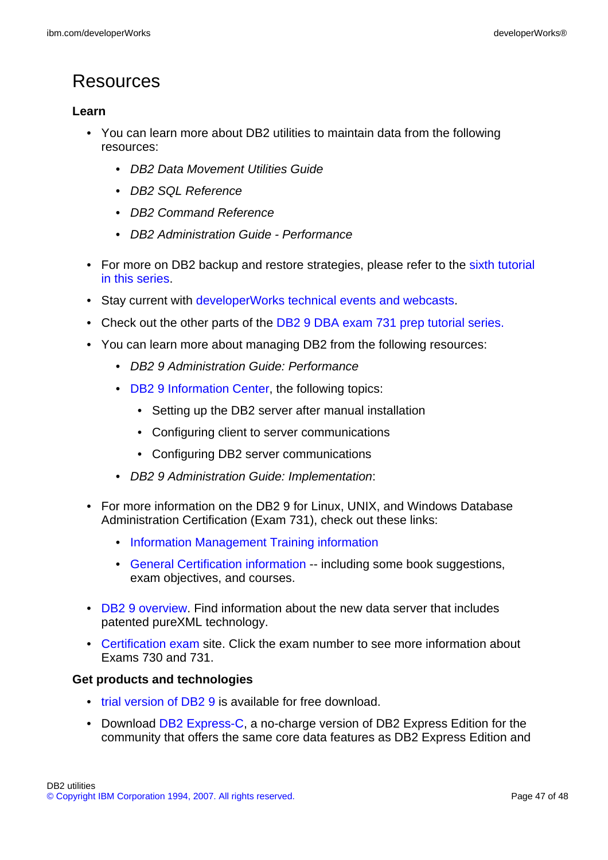# <span id="page-46-0"></span>Resources

### **Learn**

- You can learn more about DB2 utilities to maintain data from the following resources:
	- DB2 Data Movement Utilities Guide
	- DB2 SQL Reference
	- DB2 Command Reference
	- DB2 Administration Guide Performance
- For more on DB2 backup and restore strategies, please refer to the [sixth tutorial](http://www.ibm.com/developerworks/edu/i-dw-db2-cert7316-i.html?S_TACT=105AGX11&S_CMP=tut) [in this series.](http://www.ibm.com/developerworks/edu/i-dw-db2-cert7316-i.html?S_TACT=105AGX11&S_CMP=tut)
- Stay current with [developerWorks technical events and webcasts.](http://www.ibm.com/developerworks/offers/techbriefings/?S_TACT=105AGX19&S_CMP=db2cert)
- Check out the other parts of the [DB2 9 DBA exam 731 prep tutorial series.](http://www.ibm.com/developerworks/offers/lp/db2cert/db2-cert731.html?S_TACT=105AGX19&S_CMP=db2cert)
- You can learn more about managing DB2 from the following resources:
	- DB2 9 Administration Guide: Performance
	- [DB2 9 Information Center,](http://publib.boulder.ibm.com/infocenter/db2luw/v9/) the following topics:
		- Setting up the DB2 server after manual installation
		- Configuring client to server communications
		- Configuring DB2 server communications
	- DB2 9 Administration Guide: Implementation:
- For more information on the DB2 9 for Linux, UNIX, and Windows Database Administration Certification (Exam 731), check out these links:
	- [Information Management Training information](http://www-306.ibm.com/software/data/education/cert.html)
	- [General Certification information](http://www-306.ibm.com/software/data/education/cert.html) -- including some book suggestions, exam objectives, and courses.
- [DB2 9 overview](http://www-306.ibm.com/software/data/db2/v9/pr.html). Find information about the new data server that includes patented pureXML technology.
- [Certification exam](http://www-03.ibm.com/certify/tests/test_index.shtml) site. Click the exam number to see more information about Exams 730 and 731.

### **Get products and technologies**

- [trial version of DB2 9](http://www.ibm.com/developerworks/downloads/im/udb/?S_TACT=105AGX19&S_CMP=db2cert) is available for free download.
- Download [DB2 Express-C,](http://www.ibm.com/developerworks/downloads/im/udbexp/index.html?S_TACT=105AGX19&S_CMP=db2cert) a no-charge version of DB2 Express Edition for the community that offers the same core data features as DB2 Express Edition and